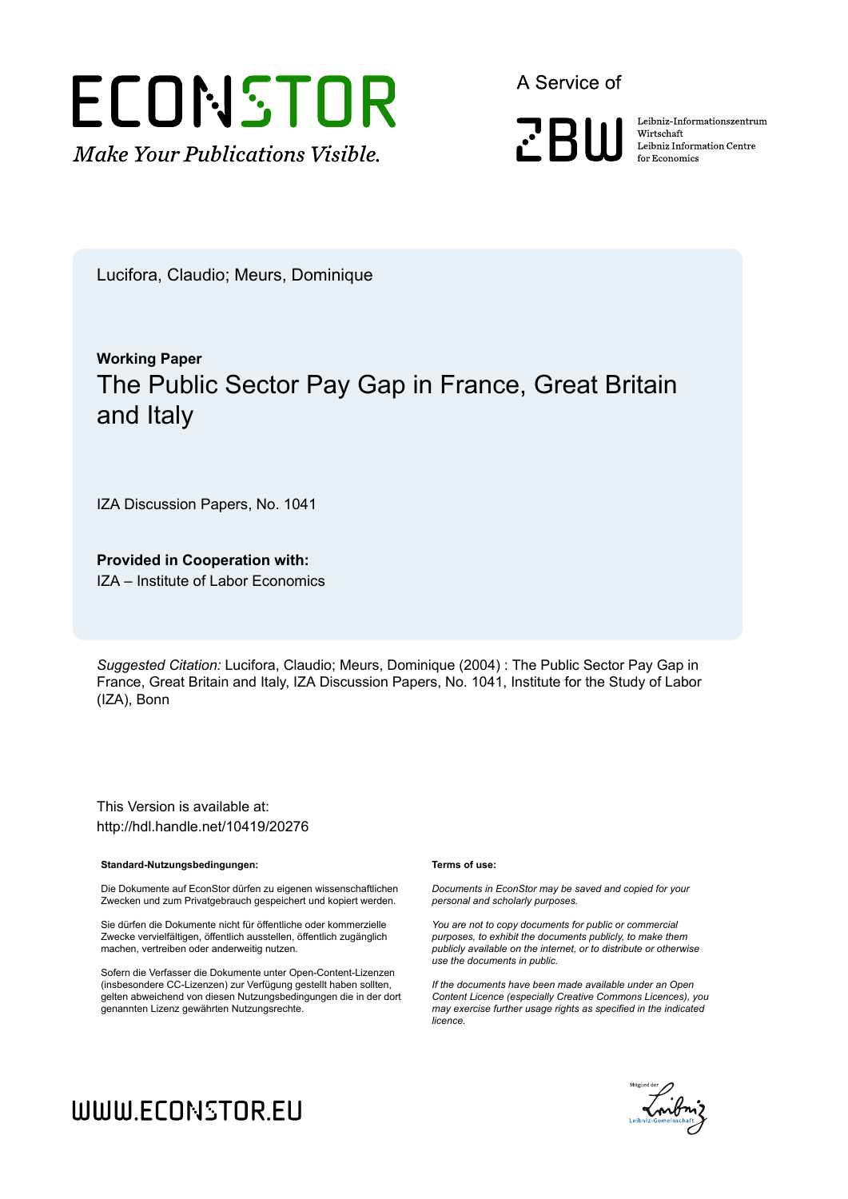

A Service of



Leibniz-Informationszentrum Wirtschaft Leibniz Information Centre for Economics

Lucifora, Claudio; Meurs, Dominique

# **Working Paper** The Public Sector Pay Gap in France, Great Britain and Italy

IZA Discussion Papers, No. 1041

**Provided in Cooperation with:**

IZA – Institute of Labor Economics

*Suggested Citation:* Lucifora, Claudio; Meurs, Dominique (2004) : The Public Sector Pay Gap in France, Great Britain and Italy, IZA Discussion Papers, No. 1041, Institute for the Study of Labor (IZA), Bonn

This Version is available at: http://hdl.handle.net/10419/20276

#### **Standard-Nutzungsbedingungen:**

Die Dokumente auf EconStor dürfen zu eigenen wissenschaftlichen Zwecken und zum Privatgebrauch gespeichert und kopiert werden.

Sie dürfen die Dokumente nicht für öffentliche oder kommerzielle Zwecke vervielfältigen, öffentlich ausstellen, öffentlich zugänglich machen, vertreiben oder anderweitig nutzen.

Sofern die Verfasser die Dokumente unter Open-Content-Lizenzen (insbesondere CC-Lizenzen) zur Verfügung gestellt haben sollten, gelten abweichend von diesen Nutzungsbedingungen die in der dort genannten Lizenz gewährten Nutzungsrechte.

#### **Terms of use:**

*Documents in EconStor may be saved and copied for your personal and scholarly purposes.*

*You are not to copy documents for public or commercial purposes, to exhibit the documents publicly, to make them publicly available on the internet, or to distribute or otherwise use the documents in public.*

*If the documents have been made available under an Open Content Licence (especially Creative Commons Licences), you may exercise further usage rights as specified in the indicated licence.*



# WWW.ECONSTOR.EU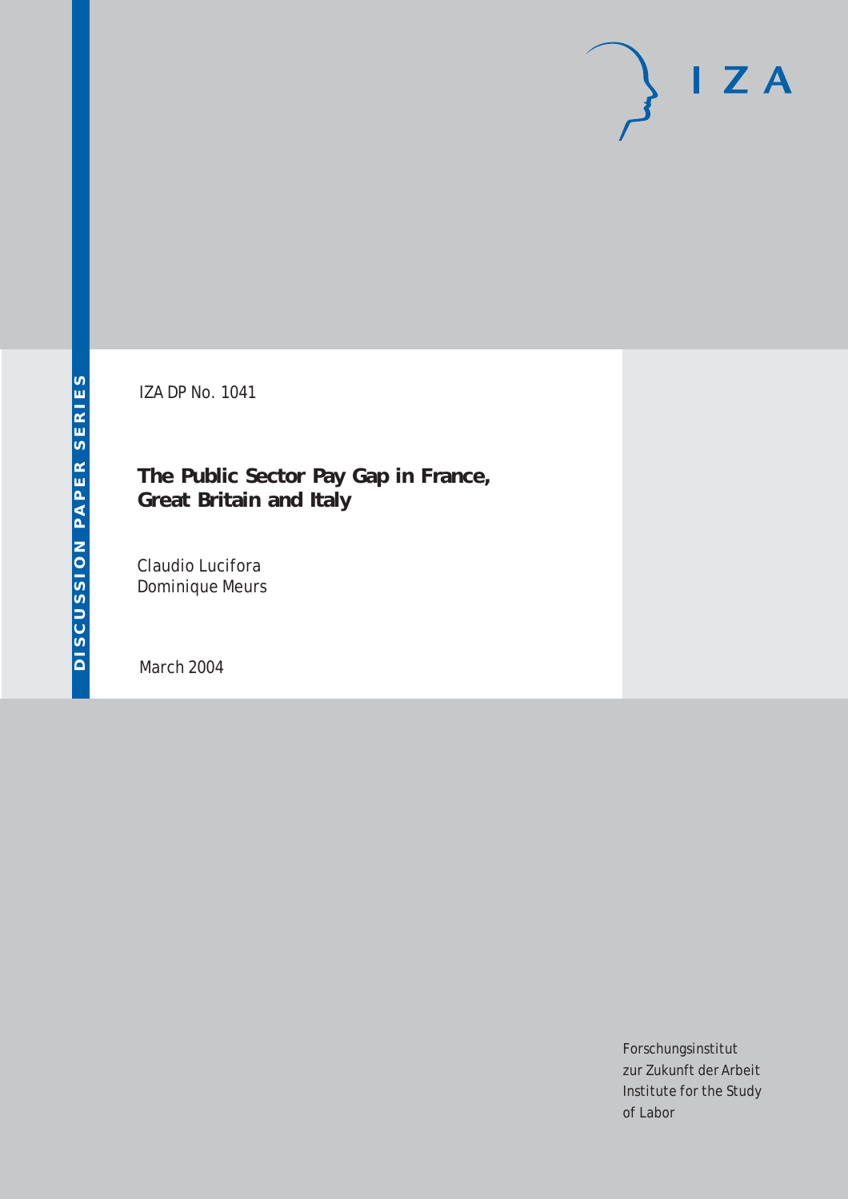# $I Z A$

IZA DP No. 1041

# **The Public Sector Pay Gap in France, Great Britain and Italy**

Claudio Lucifora Dominique Meurs

March 2004

Forschungsinstitut zur Zukunft der Arbeit Institute for the Study of Labor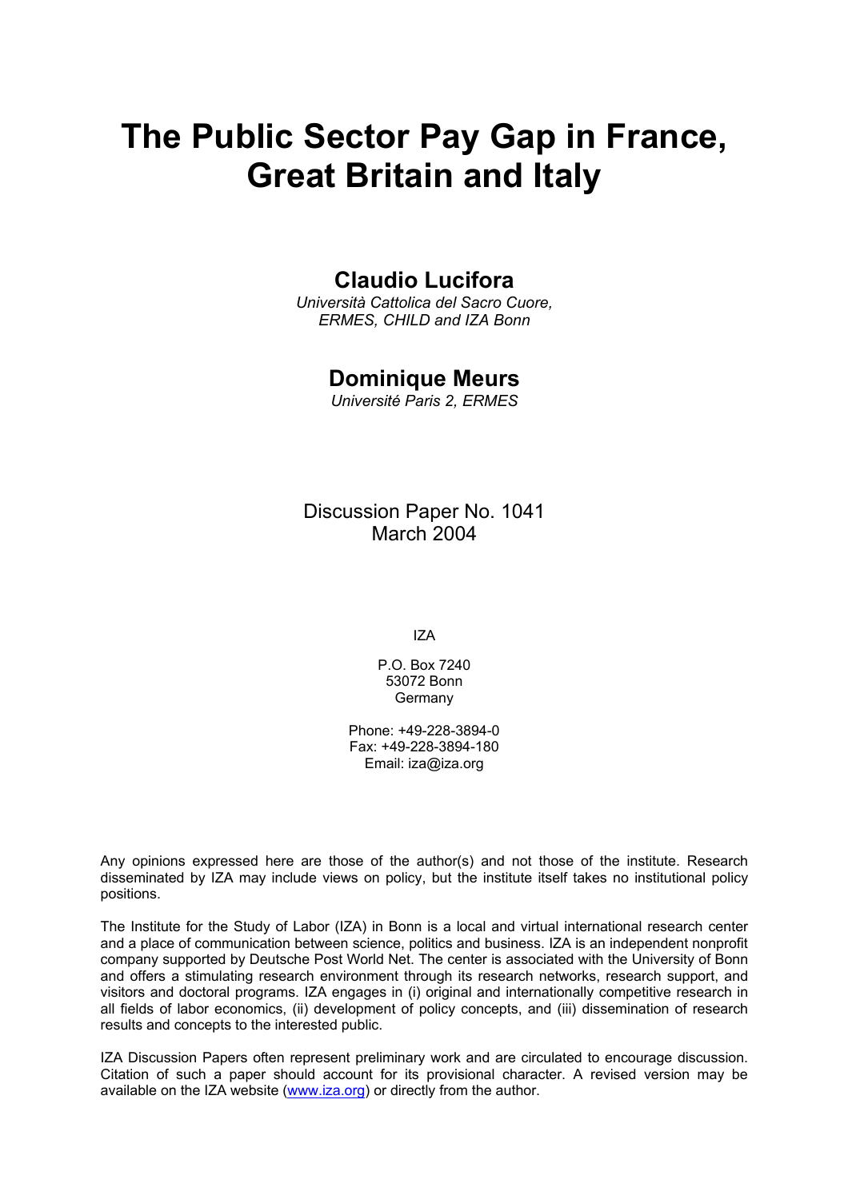# **The Public Sector Pay Gap in France, Great Britain and Italy**

## **Claudio Lucifora**

*Università Cattolica del Sacro Cuore, ERMES, CHILD and IZA Bonn* 

## **Dominique Meurs**

*Université Paris 2, ERMES* 

## Discussion Paper No. 1041 March 2004

IZA

P.O. Box 7240 53072 Bonn **Germany** 

Phone: +49-228-3894-0 Fax: +49-228-3894-180 Email: [iza@iza.org](mailto:iza@iza.org)

Any opinions expressed here are those of the author(s) and not those of the institute. Research disseminated by IZA may include views on policy, but the institute itself takes no institutional policy positions.

The Institute for the Study of Labor (IZA) in Bonn is a local and virtual international research center and a place of communication between science, politics and business. IZA is an independent nonprofit company supported by Deutsche Post World Net. The center is associated with the University of Bonn and offers a stimulating research environment through its research networks, research support, and visitors and doctoral programs. IZA engages in (i) original and internationally competitive research in all fields of labor economics, (ii) development of policy concepts, and (iii) dissemination of research results and concepts to the interested public.

IZA Discussion Papers often represent preliminary work and are circulated to encourage discussion. Citation of such a paper should account for its provisional character. A revised version may be available on the IZA website ([www.iza.org](http://www.iza.org/)) or directly from the author.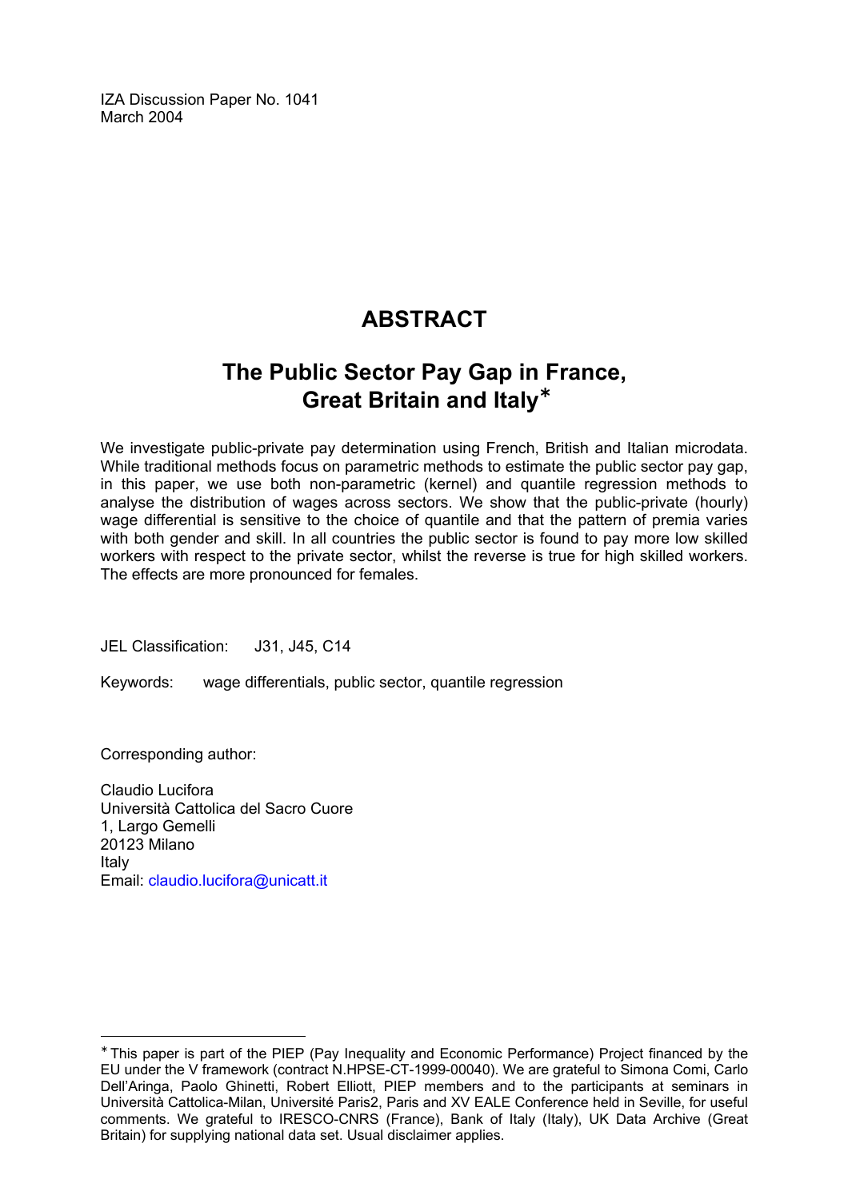IZA Discussion Paper No. 1041 March 2004

# **ABSTRACT**

# **The Public Sector Pay Gap in France, Great Britain and Italy**[∗](#page-3-0)

We investigate public-private pay determination using French, British and Italian microdata. While traditional methods focus on parametric methods to estimate the public sector pay gap, in this paper, we use both non-parametric (kernel) and quantile regression methods to analyse the distribution of wages across sectors. We show that the public-private (hourly) wage differential is sensitive to the choice of quantile and that the pattern of premia varies with both gender and skill. In all countries the public sector is found to pay more low skilled workers with respect to the private sector, whilst the reverse is true for high skilled workers. The effects are more pronounced for females.

JEL Classification: J31, J45, C14

Keywords: wage differentials, public sector, quantile regression

Corresponding author:

 $\overline{a}$ 

Claudio Lucifora Università Cattolica del Sacro Cuore 1, Largo Gemelli 20123 Milano Italy Email: [claudio.lucifora@unicatt.it](mailto:claudio.lucifora@unicatt.it) 

<span id="page-3-0"></span><sup>∗</sup> This paper is part of the PIEP (Pay Inequality and Economic Performance) Project financed by the EU under the V framework (contract N.HPSE-CT-1999-00040). We are grateful to Simona Comi, Carlo Dell'Aringa, Paolo Ghinetti, Robert Elliott, PIEP members and to the participants at seminars in Università Cattolica-Milan, Université Paris2, Paris and XV EALE Conference held in Seville, for useful comments. We grateful to IRESCO-CNRS (France), Bank of Italy (Italy), UK Data Archive (Great Britain) for supplying national data set. Usual disclaimer applies.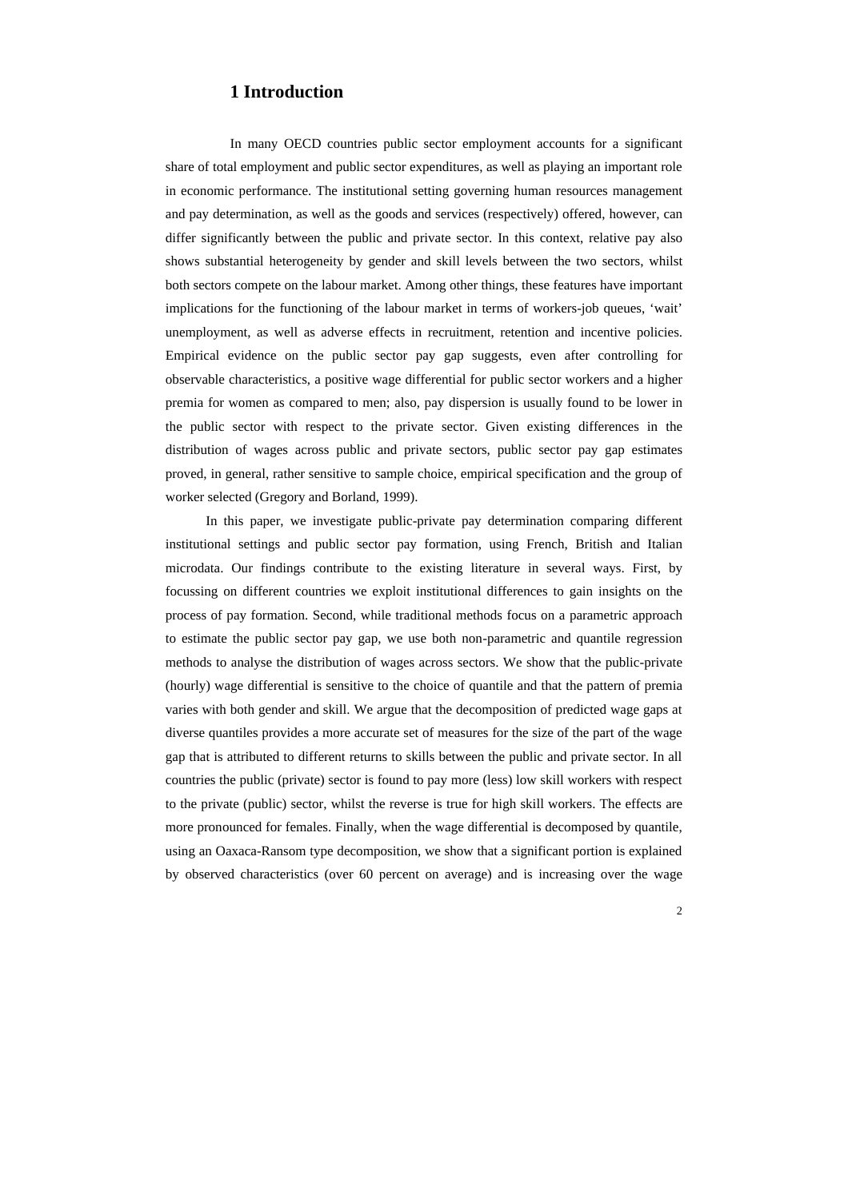#### **1 Introduction**

In many OECD countries public sector employment accounts for a significant share of total employment and public sector expenditures, as well as playing an important role in economic performance. The institutional setting governing human resources management and pay determination, as well as the goods and services (respectively) offered, however, can differ significantly between the public and private sector. In this context, relative pay also shows substantial heterogeneity by gender and skill levels between the two sectors, whilst both sectors compete on the labour market. Among other things, these features have important implications for the functioning of the labour market in terms of workers-job queues, 'wait' unemployment, as well as adverse effects in recruitment, retention and incentive policies. Empirical evidence on the public sector pay gap suggests, even after controlling for observable characteristics, a positive wage differential for public sector workers and a higher premia for women as compared to men; also, pay dispersion is usually found to be lower in the public sector with respect to the private sector. Given existing differences in the distribution of wages across public and private sectors, public sector pay gap estimates proved, in general, rather sensitive to sample choice, empirical specification and the group of worker selected (Gregory and Borland, 1999).

In this paper, we investigate public-private pay determination comparing different institutional settings and public sector pay formation, using French, British and Italian microdata. Our findings contribute to the existing literature in several ways. First, by focussing on different countries we exploit institutional differences to gain insights on the process of pay formation. Second, while traditional methods focus on a parametric approach to estimate the public sector pay gap, we use both non-parametric and quantile regression methods to analyse the distribution of wages across sectors. We show that the public-private (hourly) wage differential is sensitive to the choice of quantile and that the pattern of premia varies with both gender and skill. We argue that the decomposition of predicted wage gaps at diverse quantiles provides a more accurate set of measures for the size of the part of the wage gap that is attributed to different returns to skills between the public and private sector. In all countries the public (private) sector is found to pay more (less) low skill workers with respect to the private (public) sector, whilst the reverse is true for high skill workers. The effects are more pronounced for females. Finally, when the wage differential is decomposed by quantile, using an Oaxaca-Ransom type decomposition, we show that a significant portion is explained by observed characteristics (over 60 percent on average) and is increasing over the wage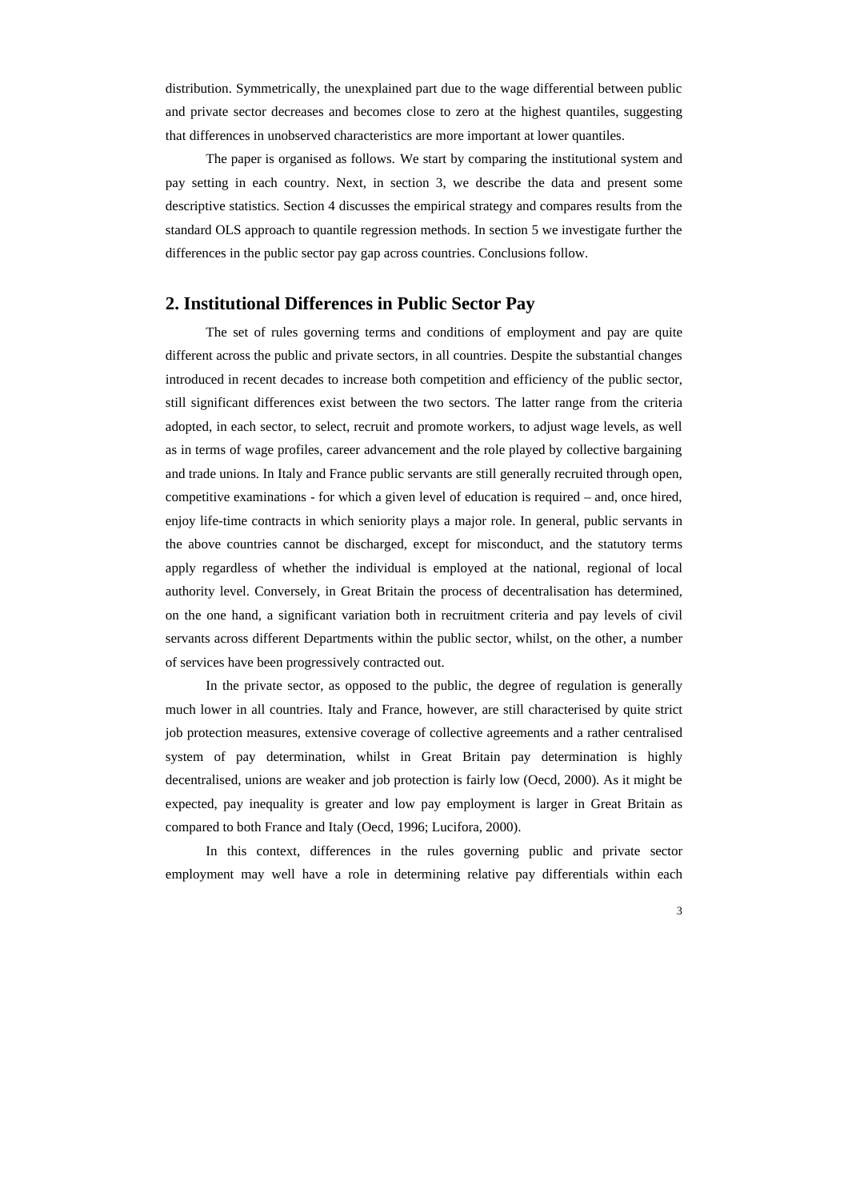distribution. Symmetrically, the unexplained part due to the wage differential between public and private sector decreases and becomes close to zero at the highest quantiles, suggesting that differences in unobserved characteristics are more important at lower quantiles.

The paper is organised as follows. We start by comparing the institutional system and pay setting in each country. Next, in section 3, we describe the data and present some descriptive statistics. Section 4 discusses the empirical strategy and compares results from the standard OLS approach to quantile regression methods. In section 5 we investigate further the differences in the public sector pay gap across countries. Conclusions follow.

#### **2. Institutional Differences in Public Sector Pay**

The set of rules governing terms and conditions of employment and pay are quite different across the public and private sectors, in all countries. Despite the substantial changes introduced in recent decades to increase both competition and efficiency of the public sector, still significant differences exist between the two sectors. The latter range from the criteria adopted, in each sector, to select, recruit and promote workers, to adjust wage levels, as well as in terms of wage profiles, career advancement and the role played by collective bargaining and trade unions. In Italy and France public servants are still generally recruited through open, competitive examinations - for which a given level of education is required – and, once hired, enjoy life-time contracts in which seniority plays a major role. In general, public servants in the above countries cannot be discharged, except for misconduct, and the statutory terms apply regardless of whether the individual is employed at the national, regional of local authority level. Conversely, in Great Britain the process of decentralisation has determined, on the one hand, a significant variation both in recruitment criteria and pay levels of civil servants across different Departments within the public sector, whilst, on the other, a number of services have been progressively contracted out.

In the private sector, as opposed to the public, the degree of regulation is generally much lower in all countries. Italy and France, however, are still characterised by quite strict job protection measures, extensive coverage of collective agreements and a rather centralised system of pay determination, whilst in Great Britain pay determination is highly decentralised, unions are weaker and job protection is fairly low (Oecd, 2000). As it might be expected, pay inequality is greater and low pay employment is larger in Great Britain as compared to both France and Italy (Oecd, 1996; Lucifora, 2000).

In this context, differences in the rules governing public and private sector employment may well have a role in determining relative pay differentials within each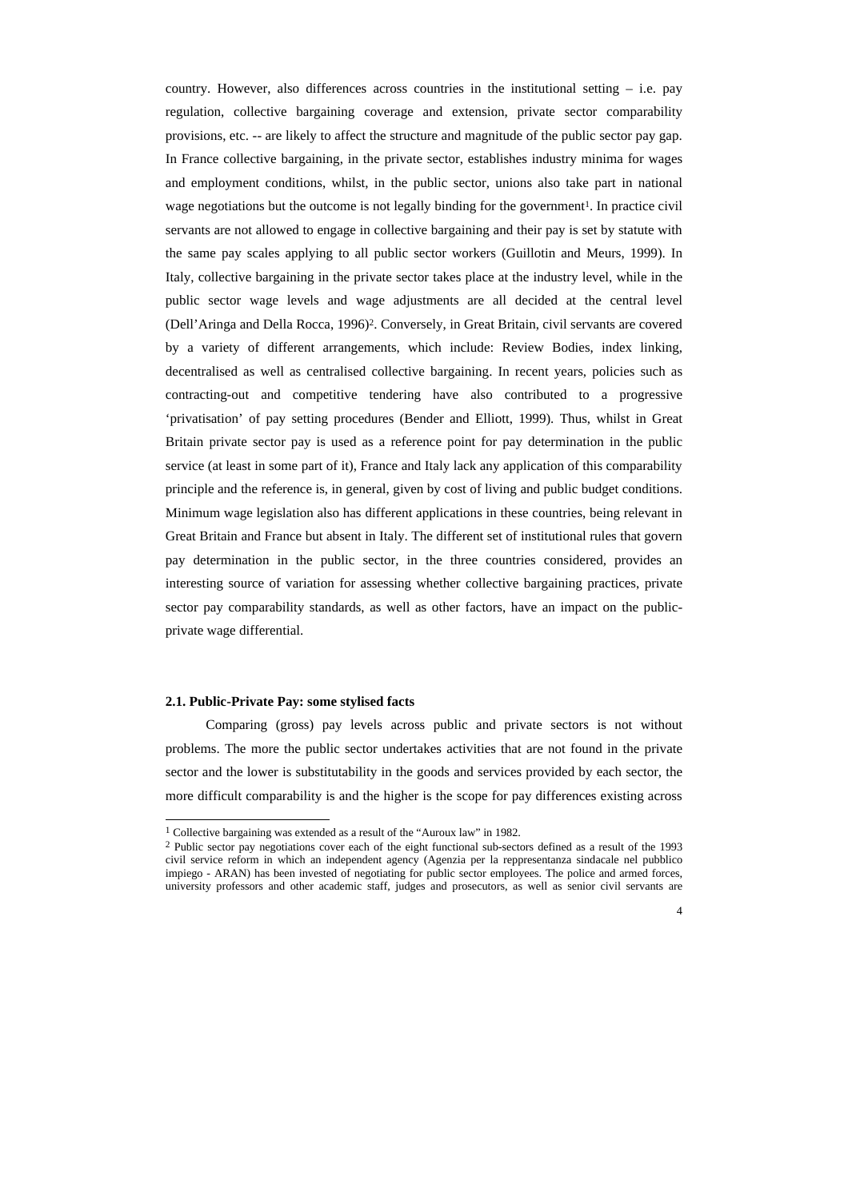country. However, also differences across countries in the institutional setting  $-$  i.e. pay regulation, collective bargaining coverage and extension, private sector comparability provisions, etc. -- are likely to affect the structure and magnitude of the public sector pay gap. In France collective bargaining, in the private sector, establishes industry minima for wages and employment conditions, whilst, in the public sector, unions also take part in national wage negotiations but the outcome is not legally binding for the government<sup>1</sup>. In practice civil servants are not allowed to engage in collective bargaining and their pay is set by statute with the same pay scales applying to all public sector workers (Guillotin and Meurs, 1999). In Italy, collective bargaining in the private sector takes place at the industry level, while in the public sector wage levels and wage adjustments are all decided at the central level (Dell'Aringa and Della Rocca, 1996)<sup>2</sup> . Conversely, in Great Britain, civil servants are covered by a variety of different arrangements, which include: Review Bodies, index linking, decentralised as well as centralised collective bargaining. In recent years, policies such as contracting-out and competitive tendering have also contributed to a progressive 'privatisation' of pay setting procedures (Bender and Elliott, 1999). Thus, whilst in Great Britain private sector pay is used as a reference point for pay determination in the public service (at least in some part of it), France and Italy lack any application of this comparability principle and the reference is, in general, given by cost of living and public budget conditions. Minimum wage legislation also has different applications in these countries, being relevant in Great Britain and France but absent in Italy. The different set of institutional rules that govern pay determination in the public sector, in the three countries considered, provides an interesting source of variation for assessing whether collective bargaining practices, private sector pay comparability standards, as well as other factors, have an impact on the publicprivate wage differential.

#### **2.1. Public-Private Pay: some stylised facts**

 $\overline{a}$ 

Comparing (gross) pay levels across public and private sectors is not without problems. The more the public sector undertakes activities that are not found in the private sector and the lower is substitutability in the goods and services provided by each sector, the more difficult comparability is and the higher is the scope for pay differences existing across

<sup>&</sup>lt;sup>1</sup> Collective bargaining was extended as a result of the "Auroux law" in 1982.

<sup>&</sup>lt;sup>2</sup> Public sector pay negotiations cover each of the eight functional sub-sectors defined as a result of the 1993 civil service reform in which an independent agency (Agenzia per la reppresentanza sindacale nel pubblico impiego - ARAN) has been invested of negotiating for public sector employees. The police and armed forces, university professors and other academic staff, judges and prosecutors, as well as senior civil servants are

<sup>4</sup>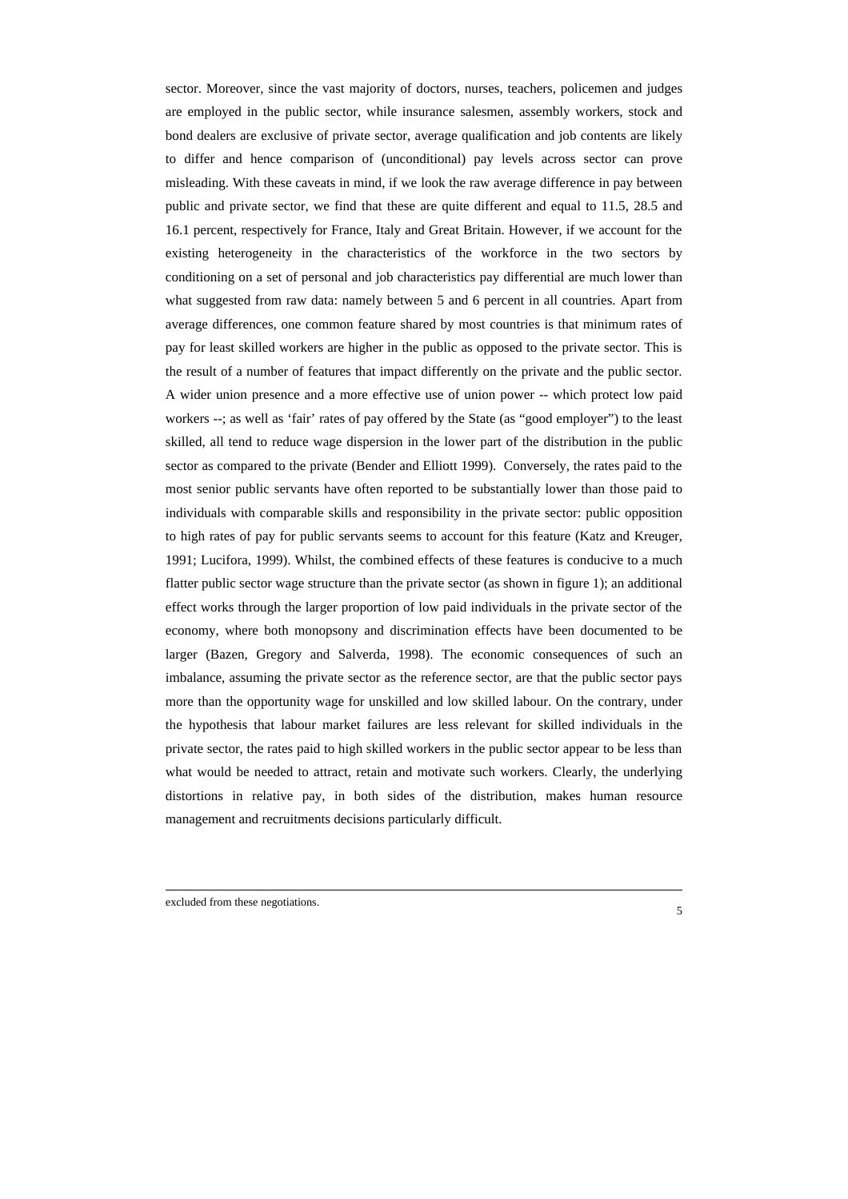sector. Moreover, since the vast majority of doctors, nurses, teachers, policemen and judges are employed in the public sector, while insurance salesmen, assembly workers, stock and bond dealers are exclusive of private sector, average qualification and job contents are likely to differ and hence comparison of (unconditional) pay levels across sector can prove misleading. With these caveats in mind, if we look the raw average difference in pay between public and private sector, we find that these are quite different and equal to 11.5, 28.5 and 16.1 percent, respectively for France, Italy and Great Britain. However, if we account for the existing heterogeneity in the characteristics of the workforce in the two sectors by conditioning on a set of personal and job characteristics pay differential are much lower than what suggested from raw data: namely between 5 and 6 percent in all countries. Apart from average differences, one common feature shared by most countries is that minimum rates of pay for least skilled workers are higher in the public as opposed to the private sector. This is the result of a number of features that impact differently on the private and the public sector. A wider union presence and a more effective use of union power -- which protect low paid workers --; as well as 'fair' rates of pay offered by the State (as "good employer") to the least skilled, all tend to reduce wage dispersion in the lower part of the distribution in the public sector as compared to the private (Bender and Elliott 1999). Conversely, the rates paid to the most senior public servants have often reported to be substantially lower than those paid to individuals with comparable skills and responsibility in the private sector: public opposition to high rates of pay for public servants seems to account for this feature (Katz and Kreuger, 1991; Lucifora, 1999). Whilst, the combined effects of these features is conducive to a much flatter public sector wage structure than the private sector (as shown in figure 1); an additional effect works through the larger proportion of low paid individuals in the private sector of the economy, where both monopsony and discrimination effects have been documented to be larger (Bazen, Gregory and Salverda, 1998). The economic consequences of such an imbalance, assuming the private sector as the reference sector, are that the public sector pays more than the opportunity wage for unskilled and low skilled labour. On the contrary, under the hypothesis that labour market failures are less relevant for skilled individuals in the private sector, the rates paid to high skilled workers in the public sector appear to be less than what would be needed to attract, retain and motivate such workers. Clearly, the underlying distortions in relative pay, in both sides of the distribution, makes human resource management and recruitments decisions particularly difficult.

excluded from these negotiations.

1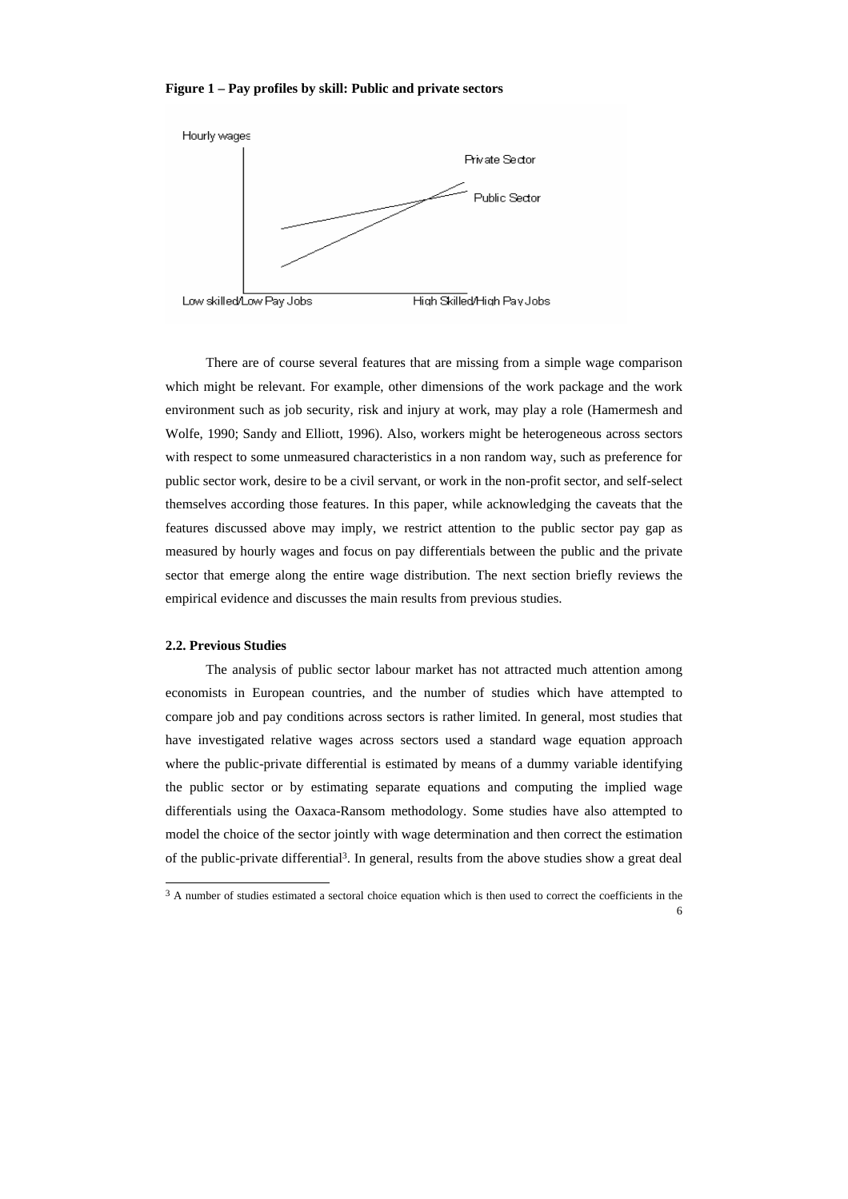#### **Figure 1 – Pay profiles by skill: Public and private sectors**



There are of course several features that are missing from a simple wage comparison which might be relevant. For example, other dimensions of the work package and the work environment such as job security, risk and injury at work, may play a role (Hamermesh and Wolfe, 1990; Sandy and Elliott, 1996). Also, workers might be heterogeneous across sectors with respect to some unmeasured characteristics in a non random way, such as preference for public sector work, desire to be a civil servant, or work in the non-profit sector, and self-select themselves according those features. In this paper, while acknowledging the caveats that the features discussed above may imply, we restrict attention to the public sector pay gap as measured by hourly wages and focus on pay differentials between the public and the private sector that emerge along the entire wage distribution. The next section briefly reviews the empirical evidence and discusses the main results from previous studies.

#### **2.2. Previous Studies**

The analysis of public sector labour market has not attracted much attention among economists in European countries, and the number of studies which have attempted to compare job and pay conditions across sectors is rather limited. In general, most studies that have investigated relative wages across sectors used a standard wage equation approach where the public-private differential is estimated by means of a dummy variable identifying the public sector or by estimating separate equations and computing the implied wage differentials using the Oaxaca-Ransom methodology. Some studies have also attempted to model the choice of the sector jointly with wage determination and then correct the estimation of the public-private differential<sup>3</sup> . In general, results from the above studies show a great deal

<sup>6</sup> <sup>3</sup> A number of studies estimated a sectoral choice equation which is then used to correct the coefficients in the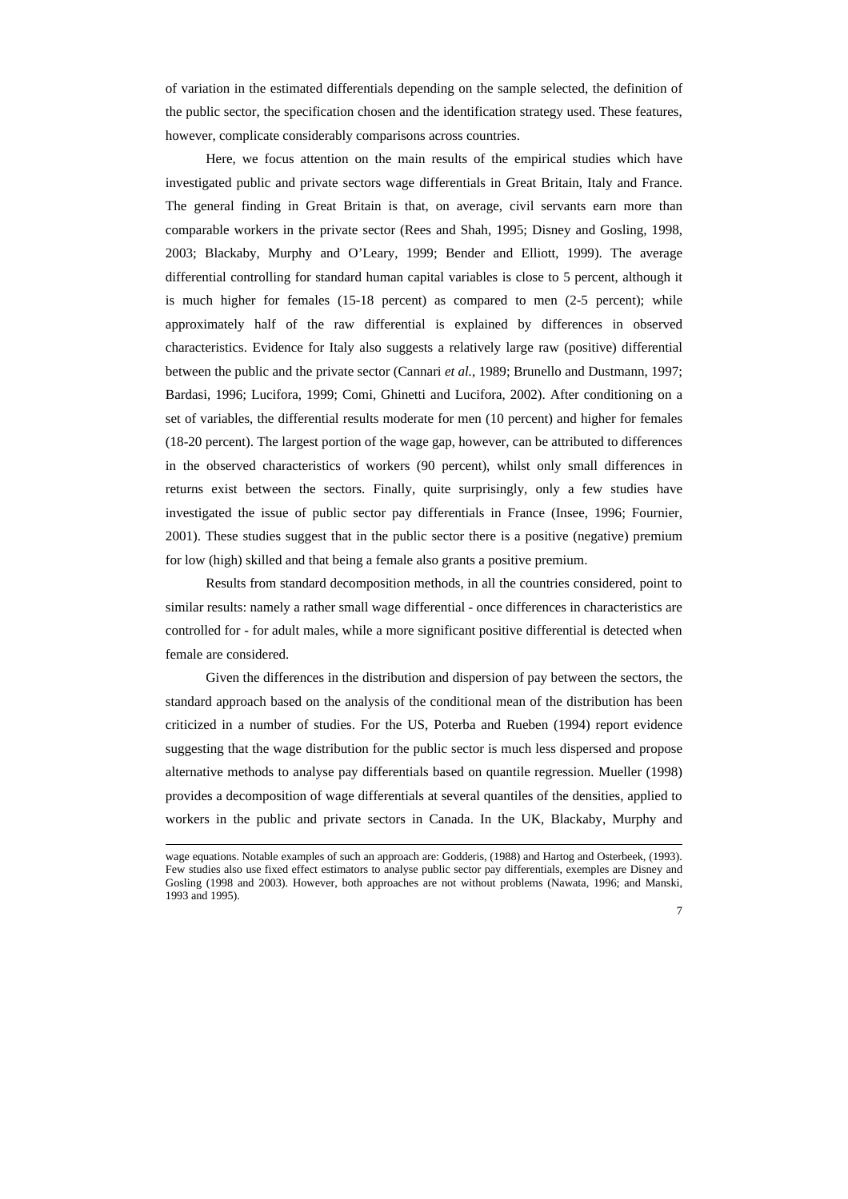of variation in the estimated differentials depending on the sample selected, the definition of the public sector, the specification chosen and the identification strategy used. These features, however, complicate considerably comparisons across countries.

Here, we focus attention on the main results of the empirical studies which have investigated public and private sectors wage differentials in Great Britain, Italy and France. The general finding in Great Britain is that, on average, civil servants earn more than comparable workers in the private sector (Rees and Shah, 1995; Disney and Gosling, 1998, 2003; Blackaby, Murphy and O'Leary, 1999; Bender and Elliott, 1999). The average differential controlling for standard human capital variables is close to 5 percent, although it is much higher for females (15-18 percent) as compared to men (2-5 percent); while approximately half of the raw differential is explained by differences in observed characteristics. Evidence for Italy also suggests a relatively large raw (positive) differential between the public and the private sector (Cannari *et al.*, 1989; Brunello and Dustmann, 1997; Bardasi, 1996; Lucifora, 1999; Comi, Ghinetti and Lucifora, 2002). After conditioning on a set of variables, the differential results moderate for men (10 percent) and higher for females (18-20 percent). The largest portion of the wage gap, however, can be attributed to differences in the observed characteristics of workers (90 percent), whilst only small differences in returns exist between the sectors. Finally, quite surprisingly, only a few studies have investigated the issue of public sector pay differentials in France (Insee, 1996; Fournier, 2001). These studies suggest that in the public sector there is a positive (negative) premium for low (high) skilled and that being a female also grants a positive premium.

Results from standard decomposition methods, in all the countries considered, point to similar results: namely a rather small wage differential - once differences in characteristics are controlled for - for adult males, while a more significant positive differential is detected when female are considered.

Given the differences in the distribution and dispersion of pay between the sectors, the standard approach based on the analysis of the conditional mean of the distribution has been criticized in a number of studies. For the US, Poterba and Rueben (1994) report evidence suggesting that the wage distribution for the public sector is much less dispersed and propose alternative methods to analyse pay differentials based on quantile regression. Mueller (1998) provides a decomposition of wage differentials at several quantiles of the densities, applied to workers in the public and private sectors in Canada. In the UK, Blackaby, Murphy and

-

wage equations. Notable examples of such an approach are: Godderis, (1988) and Hartog and Osterbeek, (1993). Few studies also use fixed effect estimators to analyse public sector pay differentials, exemples are Disney and Gosling (1998 and 2003). However, both approaches are not without problems (Nawata, 1996; and Manski, 1993 and 1995).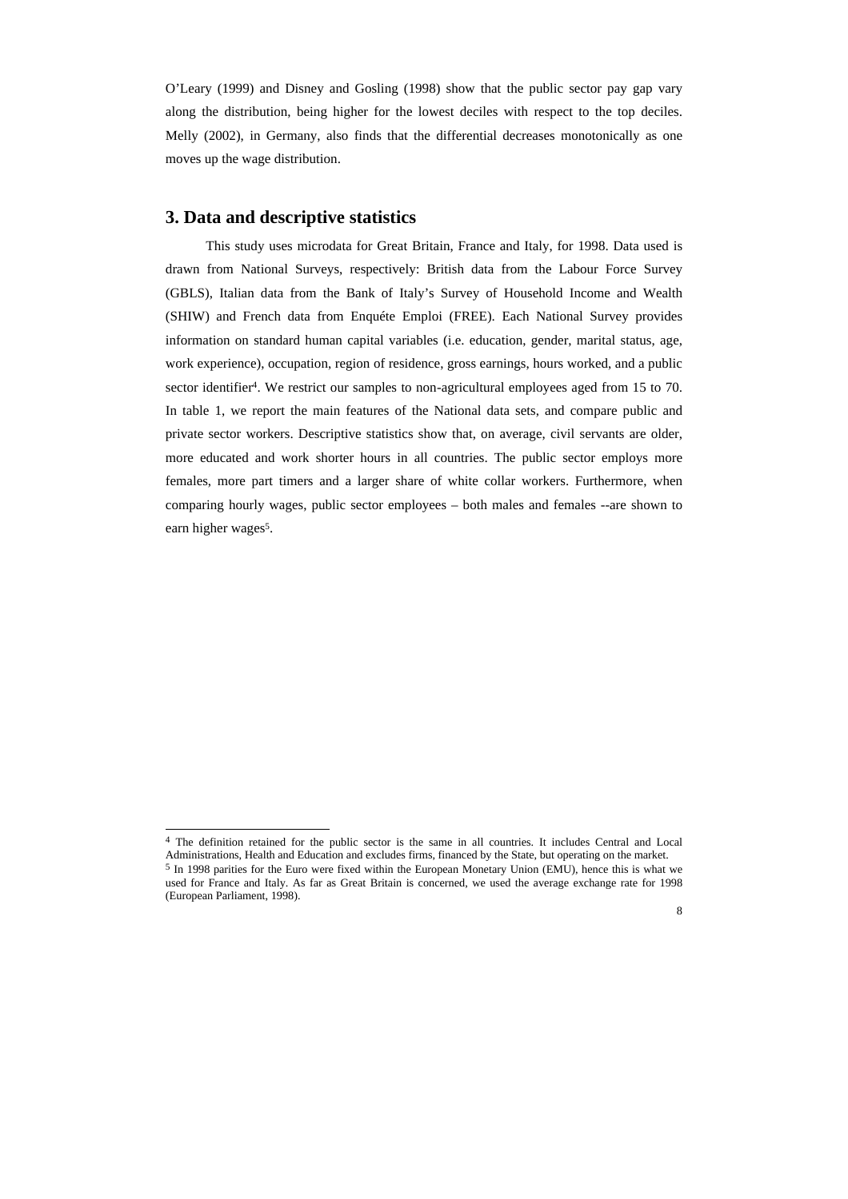O'Leary (1999) and Disney and Gosling (1998) show that the public sector pay gap vary along the distribution, being higher for the lowest deciles with respect to the top deciles. Melly (2002), in Germany, also finds that the differential decreases monotonically as one moves up the wage distribution.

#### **3. Data and descriptive statistics**

 $\overline{a}$ 

This study uses microdata for Great Britain, France and Italy, for 1998. Data used is drawn from National Surveys, respectively: British data from the Labour Force Survey (GBLS), Italian data from the Bank of Italy's Survey of Household Income and Wealth (SHIW) and French data from Enquéte Emploi (FREE). Each National Survey provides information on standard human capital variables (i.e. education, gender, marital status, age, work experience), occupation, region of residence, gross earnings, hours worked, and a public sector identifier<sup>4</sup>. We restrict our samples to non-agricultural employees aged from 15 to 70. In table 1, we report the main features of the National data sets, and compare public and private sector workers. Descriptive statistics show that, on average, civil servants are older, more educated and work shorter hours in all countries. The public sector employs more females, more part timers and a larger share of white collar workers. Furthermore, when comparing hourly wages, public sector employees – both males and females --are shown to earn higher wages<sup>5</sup>.

<sup>&</sup>lt;sup>4</sup> The definition retained for the public sector is the same in all countries. It includes Central and Local Administrations, Health and Education and excludes firms, financed by the State, but operating on the market. <sup>5</sup> In 1998 parities for the Euro were fixed within the European Monetary Union (EMU), hence this is what we used for France and Italy. As far as Great Britain is concerned, we used the average exchange rate for 1998 (European Parliament, 1998).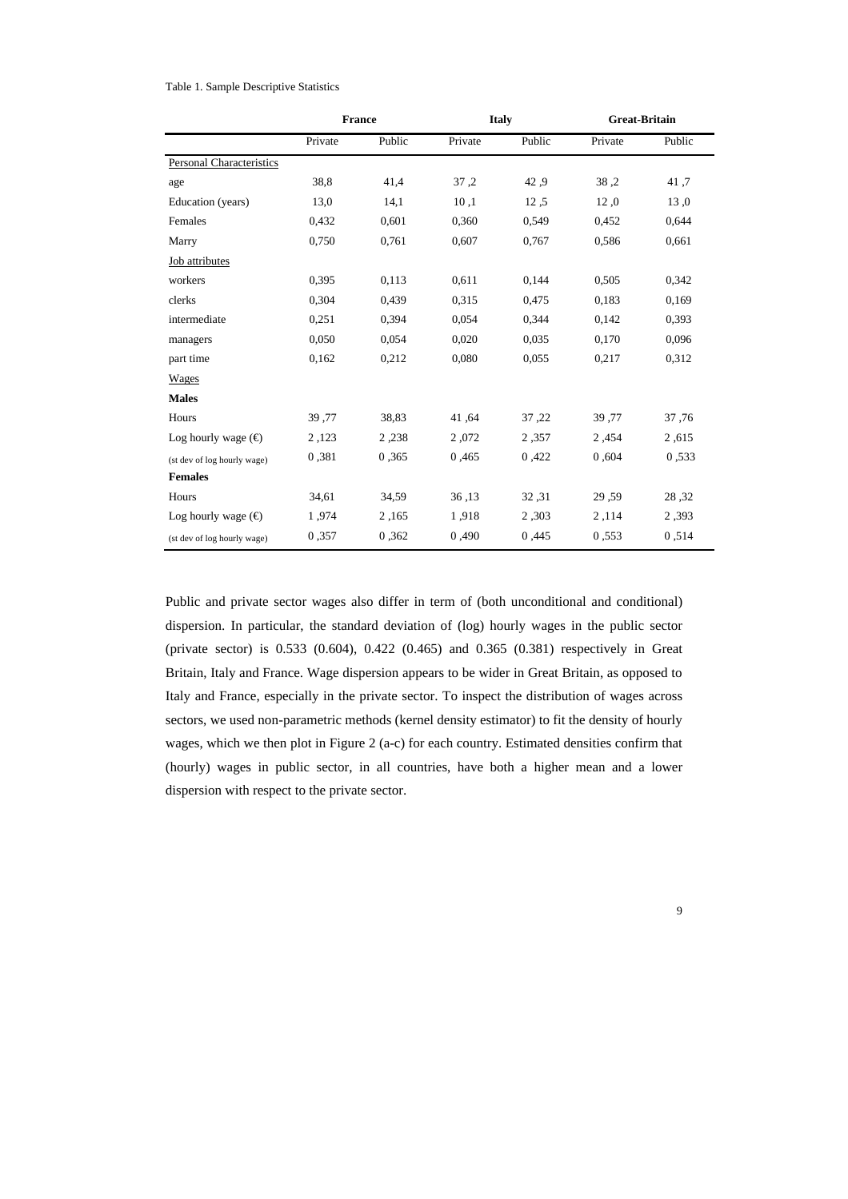#### Table 1. Sample Descriptive Statistics

|                              |         | <b>France</b> |         | <b>Italy</b> | <b>Great-Britain</b> |        |
|------------------------------|---------|---------------|---------|--------------|----------------------|--------|
|                              | Private | Public        | Private | Public       | Private              | Public |
| Personal Characteristics     |         |               |         |              |                      |        |
| age                          | 38,8    | 41,4          | 37,2    | 42,9         | 38.2                 | 41,7   |
| Education (years)            | 13,0    | 14,1          | 10,1    | 12,5         | 12.0                 | 13.0   |
| Females                      | 0.432   | 0,601         | 0,360   | 0,549        | 0.452                | 0,644  |
| Marry                        | 0,750   | 0.761         | 0,607   | 0,767        | 0,586                | 0,661  |
| Job attributes               |         |               |         |              |                      |        |
| workers                      | 0,395   | 0,113         | 0,611   | 0,144        | 0,505                | 0,342  |
| clerks                       | 0.304   | 0,439         | 0,315   | 0,475        | 0,183                | 0,169  |
| intermediate                 | 0,251   | 0,394         | 0,054   | 0,344        | 0,142                | 0,393  |
| managers                     | 0,050   | 0,054         | 0,020   | 0,035        | 0,170                | 0,096  |
| part time                    | 0.162   | 0,212         | 0,080   | 0,055        | 0,217                | 0,312  |
| <b>Wages</b>                 |         |               |         |              |                      |        |
| <b>Males</b>                 |         |               |         |              |                      |        |
| Hours                        | 39,77   | 38,83         | 41,64   | 37,22        | 39,77                | 37,76  |
| Log hourly wage $(\bigoplus$ | 2,123   | 2,238         | 2,072   | 2,357        | 2,454                | 2,615  |
| (st dev of log hourly wage)  | 0.381   | 0.365         | 0,465   | 0,422        | 0.604                | 0.533  |
| <b>Females</b>               |         |               |         |              |                      |        |
| Hours                        | 34,61   | 34,59         | 36,13   | 32,31        | 29,59                | 28,32  |
| Log hourly wage $(\bigoplus$ | 1,974   | 2,165         | 1,918   | 2,303        | 2,114                | 2,393  |
| (st dev of log hourly wage)  | 0.357   | 0,362         | 0,490   | 0,445        | 0.553                | 0.514  |

Public and private sector wages also differ in term of (both unconditional and conditional) dispersion. In particular, the standard deviation of (log) hourly wages in the public sector (private sector) is 0.533 (0.604), 0.422 (0.465) and 0.365 (0.381) respectively in Great Britain, Italy and France. Wage dispersion appears to be wider in Great Britain, as opposed to Italy and France, especially in the private sector. To inspect the distribution of wages across sectors, we used non-parametric methods (kernel density estimator) to fit the density of hourly wages, which we then plot in Figure 2 (a-c) for each country. Estimated densities confirm that (hourly) wages in public sector, in all countries, have both a higher mean and a lower dispersion with respect to the private sector.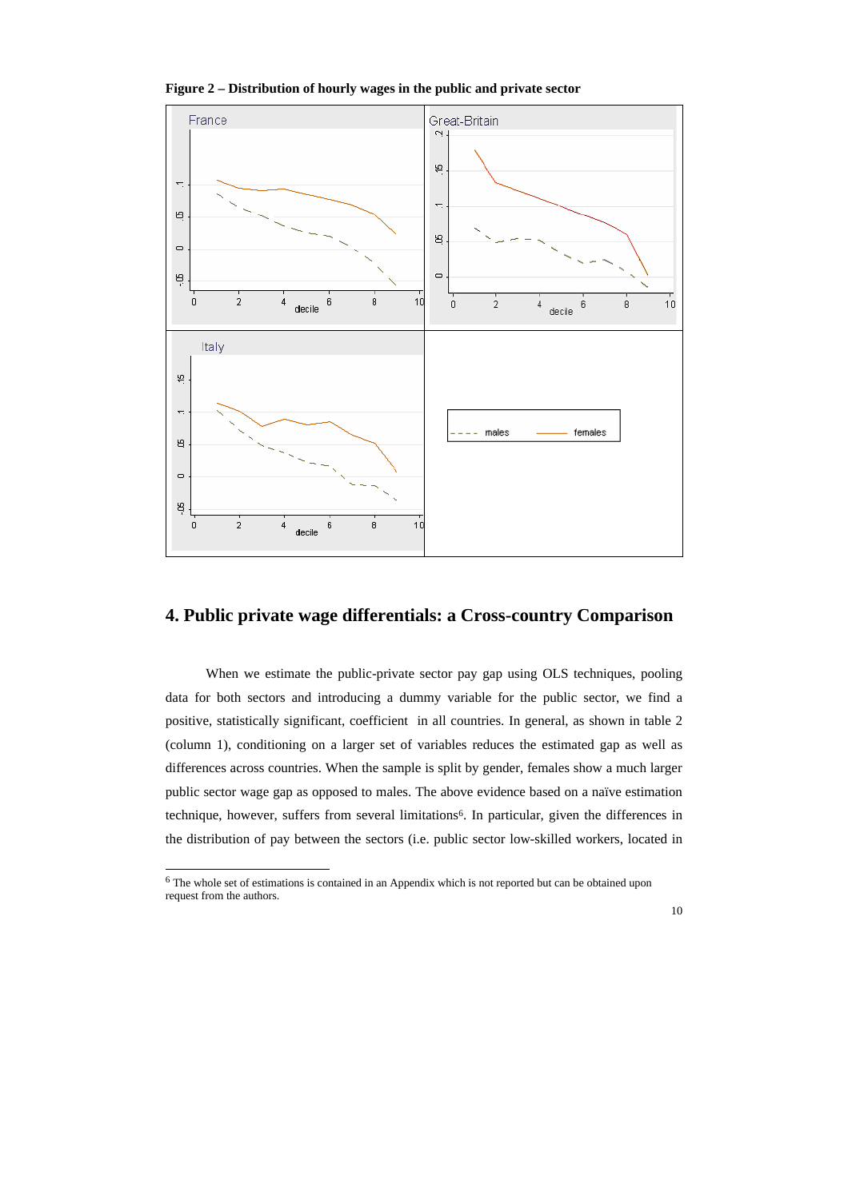

**Figure 2 – Distribution of hourly wages in the public and private sector**

#### **4. Public private wage differentials: a Cross-country Comparison**

When we estimate the public-private sector pay gap using OLS techniques, pooling data for both sectors and introducing a dummy variable for the public sector, we find a positive, statistically significant, coefficient in all countries. In general, as shown in table 2 (column 1), conditioning on a larger set of variables reduces the estimated gap as well as differences across countries. When the sample is split by gender, females show a much larger public sector wage gap as opposed to males. The above evidence based on a naïve estimation technique, however, suffers from several limitations<sup>6</sup>. In particular, given the differences in the distribution of pay between the sectors (i.e. public sector low-skilled workers, located in

 6 The whole set of estimations is contained in an Appendix which is not reported but can be obtained upon request from the authors.

<sup>10</sup>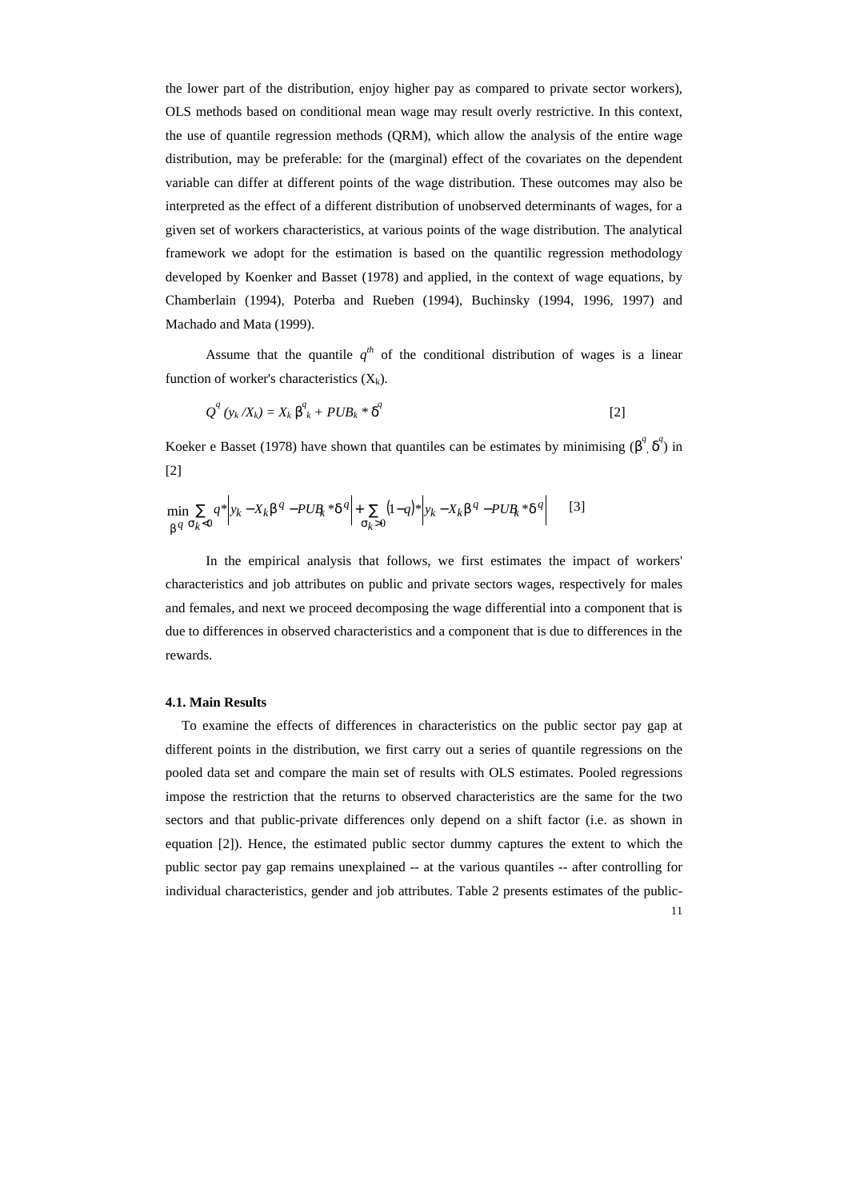the lower part of the distribution, enjoy higher pay as compared to private sector workers), OLS methods based on conditional mean wage may result overly restrictive. In this context, the use of quantile regression methods (QRM), which allow the analysis of the entire wage distribution, may be preferable: for the (marginal) effect of the covariates on the dependent variable can differ at different points of the wage distribution. These outcomes may also be interpreted as the effect of a different distribution of unobserved determinants of wages, for a given set of workers characteristics, at various points of the wage distribution. The analytical framework we adopt for the estimation is based on the quantilic regression methodology developed by Koenker and Basset (1978) and applied, in the context of wage equations, by Chamberlain (1994), Poterba and Rueben (1994), Buchinsky (1994, 1996, 1997) and Machado and Mata (1999).

Assume that the quantile  $q^{th}$  of the conditional distribution of wages is a linear function of worker's characteristics  $(X_k)$ .

$$
Q^{q}(y_{k}/X_{k})=X_{k}\boldsymbol{b}_{k}^{q}+PUB_{k}\ast\boldsymbol{d}^{q}
$$
 [2]

Koeker e Basset (1978) have shown that quantiles can be estimates by minimising  $(b^q, d^l)$  in [2]

$$
\min_{\mathbf{b}^q} \sum_{\mathbf{s} \in \mathcal{A}} q^* \left| y_k - X_k \mathbf{b}^q - PUR_k \cdot d^q \right| + \sum_{\mathbf{s} \in \mathcal{A}} (1-q)^* \left| y_k - X_k \mathbf{b}^q - PUR_k \cdot d^q \right| \qquad [3]
$$

In the empirical analysis that follows, we first estimates the impact of workers' characteristics and job attributes on public and private sectors wages, respectively for males and females, and next we proceed decomposing the wage differential into a component that is due to differences in observed characteristics and a component that is due to differences in the rewards.

#### **4.1. Main Results**

11 To examine the effects of differences in characteristics on the public sector pay gap at different points in the distribution, we first carry out a series of quantile regressions on the pooled data set and compare the main set of results with OLS estimates. Pooled regressions impose the restriction that the returns to observed characteristics are the same for the two sectors and that public-private differences only depend on a shift factor (i.e. as shown in equation [2]). Hence, the estimated public sector dummy captures the extent to which the public sector pay gap remains unexplained -- at the various quantiles -- after controlling for individual characteristics, gender and job attributes. Table 2 presents estimates of the public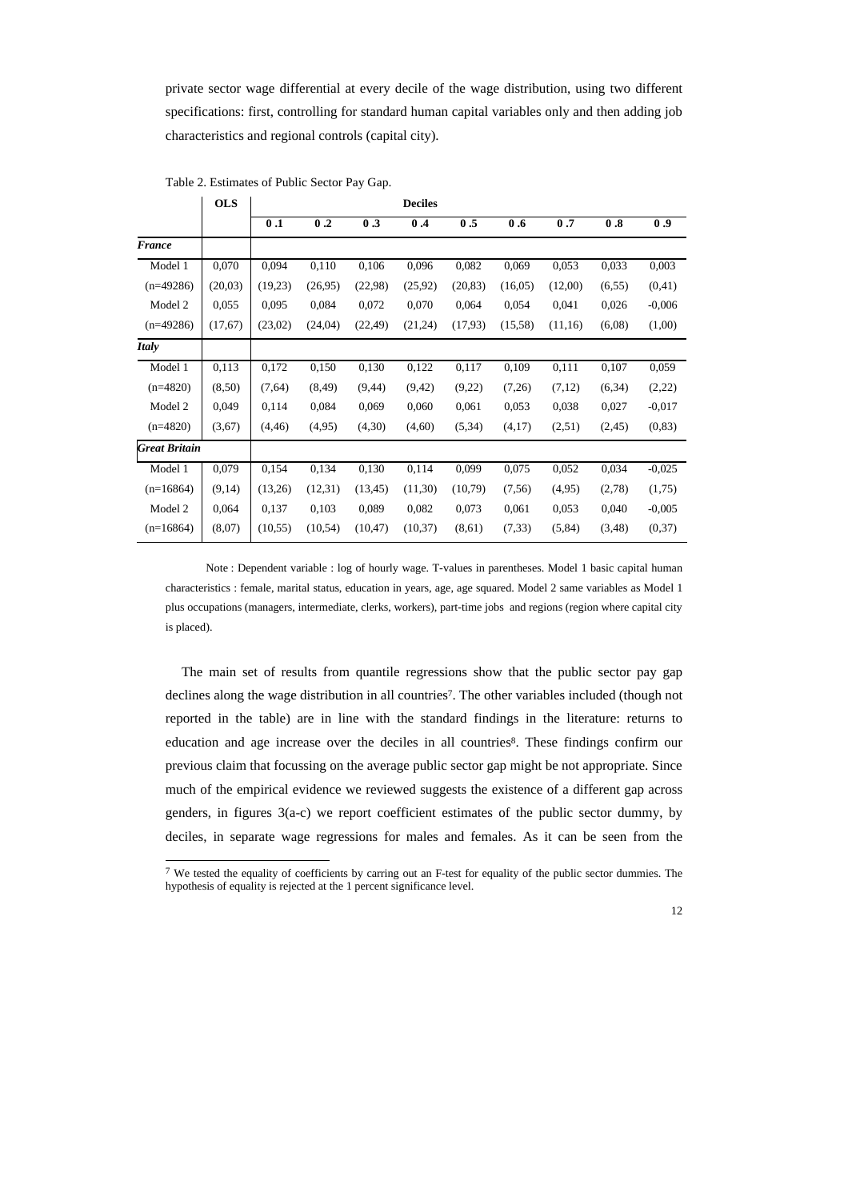private sector wage differential at every decile of the wage distribution, using two different specifications: first, controlling for standard human capital variables only and then adding job characteristics and regional controls (capital city).

|                      | <b>OLS</b> | <b>Deciles</b> |          |          |         |          |         |         |         |          |
|----------------------|------------|----------------|----------|----------|---------|----------|---------|---------|---------|----------|
|                      |            | 0.1            | 0.2      | 0.3      | 0.4     | 0.5      | 0.6     | 0.7     | 0.8     | 0.9      |
| <b>France</b>        |            |                |          |          |         |          |         |         |         |          |
| Model 1              | 0,070      | 0,094          | 0,110    | 0,106    | 0,096   | 0,082    | 0,069   | 0,053   | 0,033   | 0,003    |
| $(n=49286)$          | (20,03)    | (19,23)        | (26,95)  | (22,98)  | (25,92) | (20, 83) | (16,05) | (12,00) | (6, 55) | (0,41)   |
| Model 2              | 0,055      | 0,095          | 0,084    | 0,072    | 0,070   | 0,064    | 0,054   | 0,041   | 0,026   | $-0.006$ |
| $(n=49286)$          | (17,67)    | (23,02)        | (24,04)  | (22, 49) | (21,24) | (17,93)  | (15,58) | (11,16) | (6,08)  | (1,00)   |
| <b>Italy</b>         |            |                |          |          |         |          |         |         |         |          |
| Model 1              | 0,113      | 0,172          | 0,150    | 0,130    | 0,122   | 0,117    | 0,109   | 0,111   | 0,107   | 0,059    |
| $(n=4820)$           | (8,50)     | (7,64)         | (8, 49)  | (9, 44)  | (9,42)  | (9,22)   | (7,26)  | (7,12)  | (6, 34) | (2,22)   |
| Model 2              | 0,049      | 0,114          | 0,084    | 0,069    | 0,060   | 0,061    | 0,053   | 0,038   | 0,027   | $-0,017$ |
| $(n=4820)$           | (3,67)     | (4, 46)        | (4,95)   | (4,30)   | (4,60)  | (5, 34)  | (4,17)  | (2,51)  | (2, 45) | (0, 83)  |
| <b>Great Britain</b> |            |                |          |          |         |          |         |         |         |          |
| Model 1              | 0,079      | 0,154          | 0,134    | 0,130    | 0,114   | 0,099    | 0,075   | 0,052   | 0,034   | $-0,025$ |
| $(n=16864)$          | (9,14)     | (13,26)        | (12,31)  | (13, 45) | (11,30) | (10,79)  | (7,56)  | (4,95)  | (2,78)  | (1,75)   |
| Model 2              | 0,064      | 0,137          | 0,103    | 0,089    | 0,082   | 0,073    | 0,061   | 0,053   | 0,040   | $-0,005$ |
| $(n=16864)$          | (8,07)     | (10, 55)       | (10, 54) | (10, 47) | (10,37) | (8,61)   | (7, 33) | (5, 84) | (3,48)  | (0,37)   |

Table 2. Estimates of Public Sector Pay Gap.

l

Note : Dependent variable : log of hourly wage. T-values in parentheses. Model 1 basic capital human characteristics : female, marital status, education in years, age, age squared. Model 2 same variables as Model 1 plus occupations (managers, intermediate, clerks, workers), part-time jobs and regions (region where capital city is placed).

The main set of results from quantile regressions show that the public sector pay gap declines along the wage distribution in all countries<sup>7</sup>. The other variables included (though not reported in the table) are in line with the standard findings in the literature: returns to education and age increase over the deciles in all countries<sup>8</sup>. These findings confirm our previous claim that focussing on the average public sector gap might be not appropriate. Since much of the empirical evidence we reviewed suggests the existence of a different gap across genders, in figures 3(a-c) we report coefficient estimates of the public sector dummy, by deciles, in separate wage regressions for males and females. As it can be seen from the

 $7$  We tested the equality of coefficients by carring out an F-test for equality of the public sector dummies. The hypothesis of equality is rejected at the 1 percent significance level.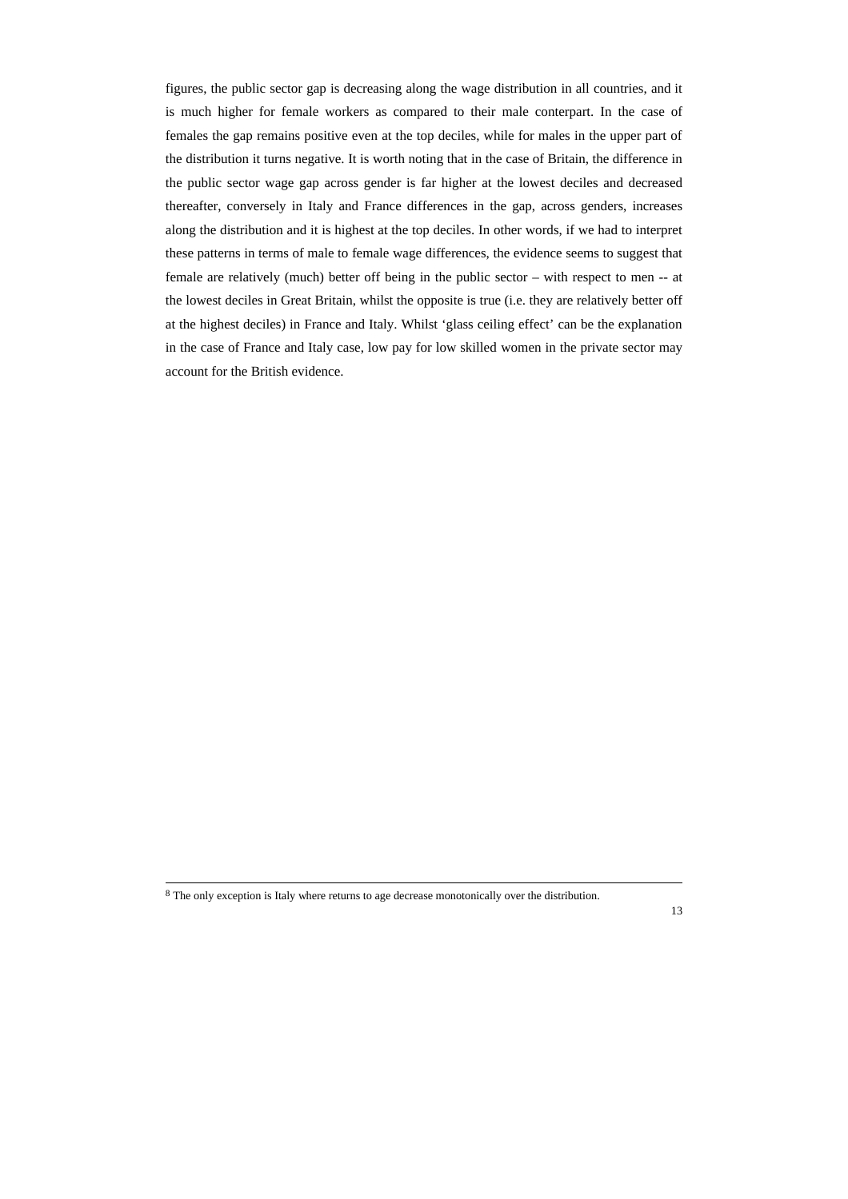figures, the public sector gap is decreasing along the wage distribution in all countries, and it is much higher for female workers as compared to their male conterpart. In the case of females the gap remains positive even at the top deciles, while for males in the upper part of the distribution it turns negative. It is worth noting that in the case of Britain, the difference in the public sector wage gap across gender is far higher at the lowest deciles and decreased thereafter, conversely in Italy and France differences in the gap, across genders, increases along the distribution and it is highest at the top deciles. In other words, if we had to interpret these patterns in terms of male to female wage differences, the evidence seems to suggest that female are relatively (much) better off being in the public sector – with respect to men -- at the lowest deciles in Great Britain, whilst the opposite is true (i.e. they are relatively better off at the highest deciles) in France and Italy. Whilst 'glass ceiling effect' can be the explanation in the case of France and Italy case, low pay for low skilled women in the private sector may account for the British evidence.

<sup>&</sup>lt;sup>8</sup> The only exception is Italy where returns to age decrease monotonically over the distribution.

<sup>13</sup>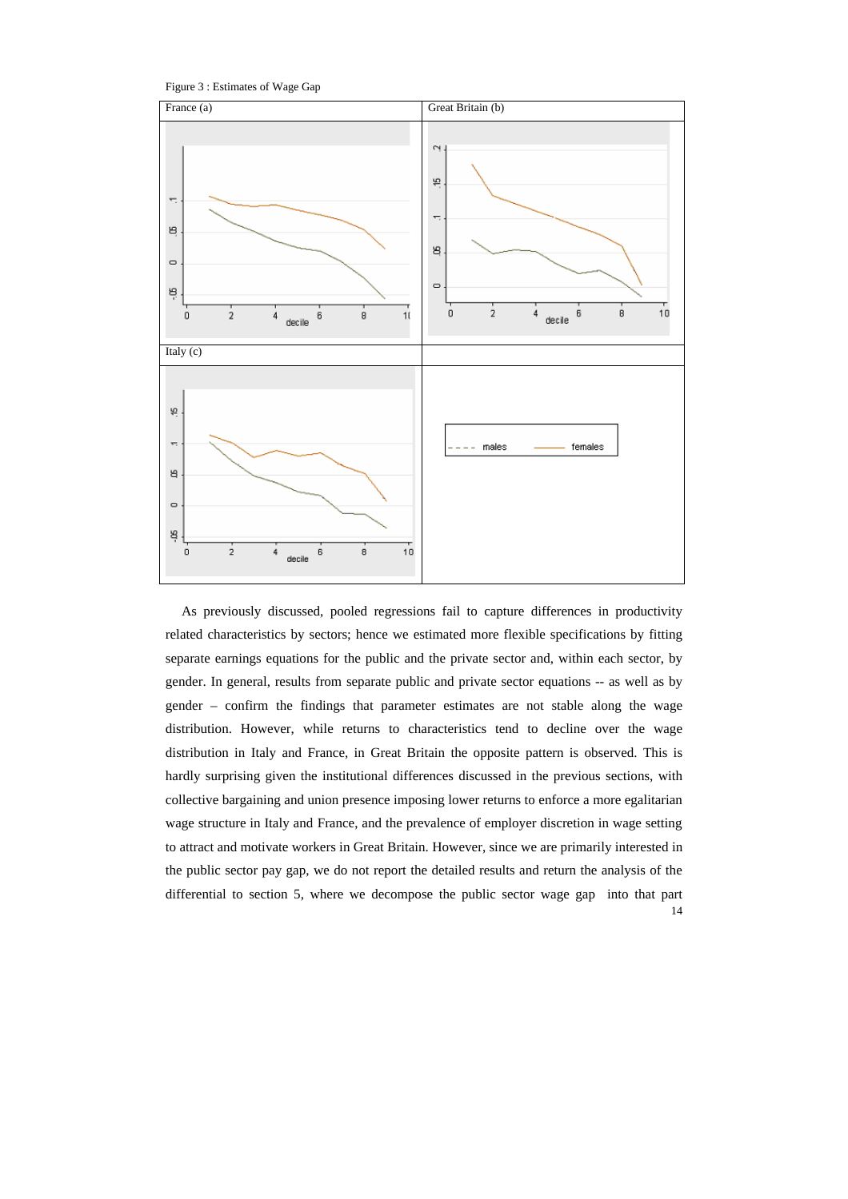Figure 3 : Estimates of Wage Gap



14 As previously discussed, pooled regressions fail to capture differences in productivity related characteristics by sectors; hence we estimated more flexible specifications by fitting separate earnings equations for the public and the private sector and, within each sector, by gender. In general, results from separate public and private sector equations -- as well as by gender – confirm the findings that parameter estimates are not stable along the wage distribution. However, while returns to characteristics tend to decline over the wage distribution in Italy and France, in Great Britain the opposite pattern is observed. This is hardly surprising given the institutional differences discussed in the previous sections, with collective bargaining and union presence imposing lower returns to enforce a more egalitarian wage structure in Italy and France, and the prevalence of employer discretion in wage setting to attract and motivate workers in Great Britain. However, since we are primarily interested in the public sector pay gap, we do not report the detailed results and return the analysis of the differential to section 5, where we decompose the public sector wage gap into that part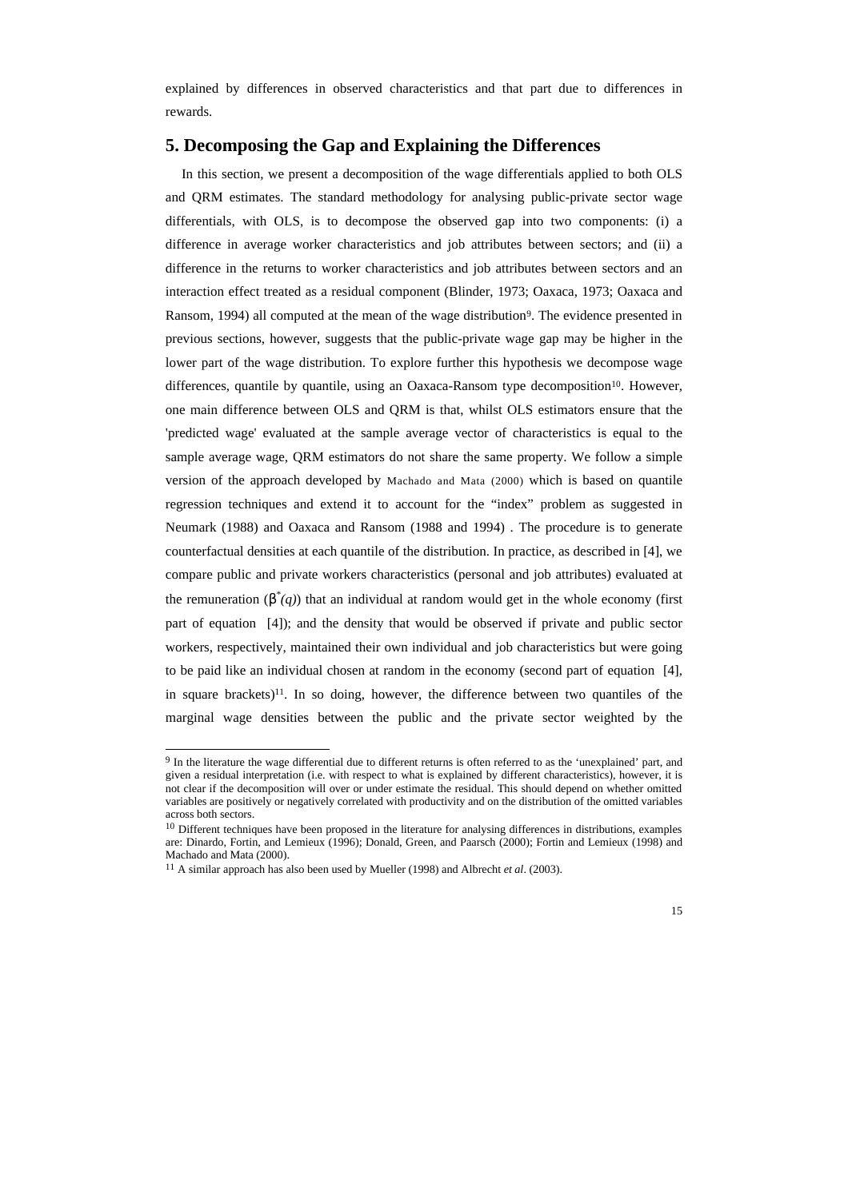explained by differences in observed characteristics and that part due to differences in rewards.

#### **5. Decomposing the Gap and Explaining the Differences**

In this section, we present a decomposition of the wage differentials applied to both OLS and QRM estimates. The standard methodology for analysing public-private sector wage differentials, with OLS, is to decompose the observed gap into two components: (i) a difference in average worker characteristics and job attributes between sectors; and (ii) a difference in the returns to worker characteristics and job attributes between sectors and an interaction effect treated as a residual component (Blinder, 1973; Oaxaca, 1973; Oaxaca and Ransom, 1994) all computed at the mean of the wage distribution<sup>9</sup>. The evidence presented in previous sections, however, suggests that the public-private wage gap may be higher in the lower part of the wage distribution. To explore further this hypothesis we decompose wage differences, quantile by quantile, using an Oaxaca-Ransom type decomposition<sup>10</sup>. However, one main difference between OLS and QRM is that, whilst OLS estimators ensure that the 'predicted wage' evaluated at the sample average vector of characteristics is equal to the sample average wage, QRM estimators do not share the same property. We follow a simple version of the approach developed by Machado and Mata (2000) which is based on quantile regression techniques and extend it to account for the "index" problem as suggested in Neumark (1988) and Oaxaca and Ransom (1988 and 1994) . The procedure is to generate counterfactual densities at each quantile of the distribution. In practice, as described in [4], we compare public and private workers characteristics (personal and job attributes) evaluated at the remuneration  $(b^*(q))$  that an individual at random would get in the whole economy (first part of equation [4]); and the density that would be observed if private and public sector workers, respectively, maintained their own individual and job characteristics but were going to be paid like an individual chosen at random in the economy (second part of equation [4], in square brackets)<sup>11</sup>. In so doing, however, the difference between two quantiles of the marginal wage densities between the public and the private sector weighted by the

l

<sup>9</sup> In the literature the wage differential due to different returns is often referred to as the 'unexplained' part, and given a residual interpretation (i.e. with respect to what is explained by different characteristics), however, it is not clear if the decomposition will over or under estimate the residual. This should depend on whether omitted variables are positively or negatively correlated with productivity and on the distribution of the omitted variables across both sectors.

<sup>&</sup>lt;sup>10</sup> Different techniques have been proposed in the literature for analysing differences in distributions, examples are: Dinardo, Fortin, and Lemieux (1996); Donald, Green, and Paarsch (2000); Fortin and Lemieux (1998) and Machado and Mata (2000).

<sup>11</sup> A similar approach has also been used by Mueller (1998) and Albrecht *et al*. (2003).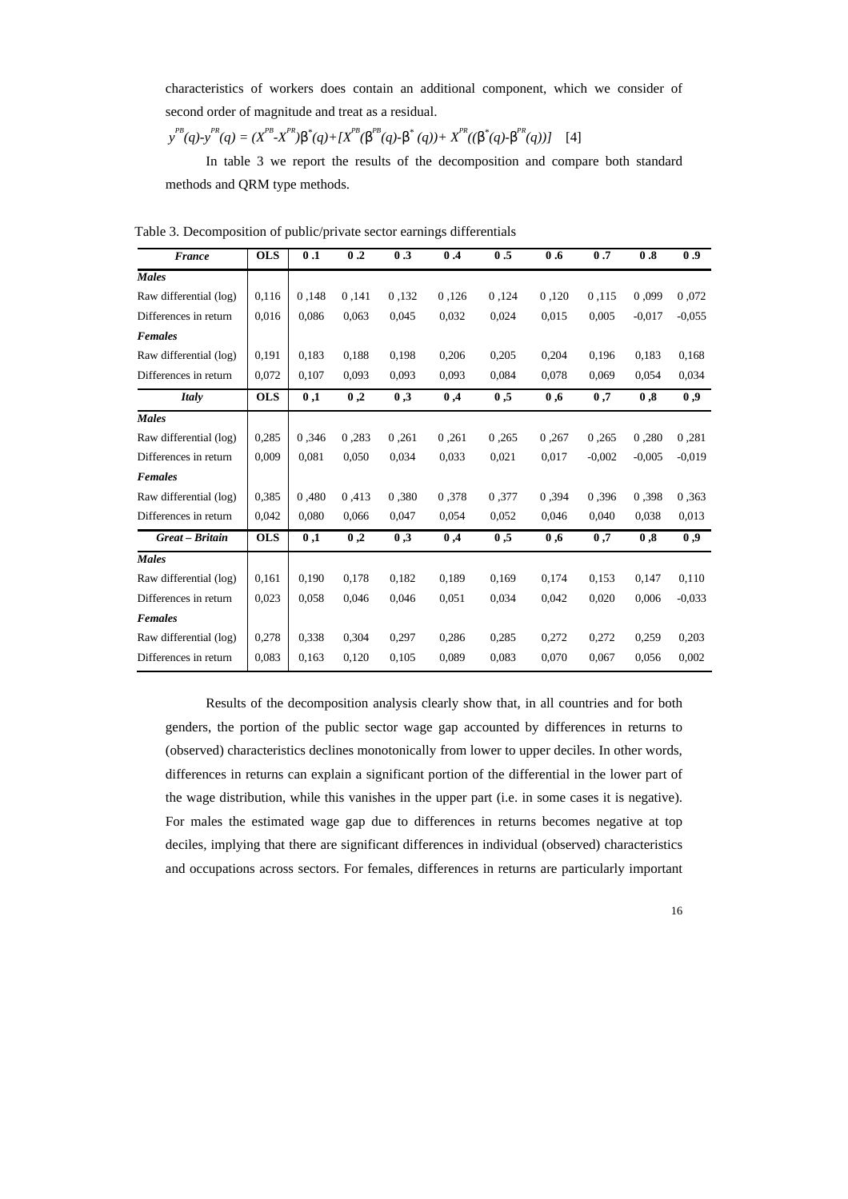characteristics of workers does contain an additional component, which we consider of second order of magnitude and treat as a residual.

 $y^{PB}(q)$ - $y^{PR}(q) = (X^{PB} - X^{PR})\boldsymbol{b}^*(q) + [X^{PB}(\boldsymbol{b}^{PB}(q) - \boldsymbol{b}^*(q)) + X^{PR}((\boldsymbol{b}^*(q) - \boldsymbol{b}^{PR}(q))]$  [4]

In table 3 we report the results of the decomposition and compare both standard methods and QRM type methods.

| <b>France</b>          | OLS        | 0.1   | 0.2   | 0.3   | 0.4   | 0.5   | 0.6   | 0.7      | 0.8      | 0.9      |
|------------------------|------------|-------|-------|-------|-------|-------|-------|----------|----------|----------|
| <b>Males</b>           |            |       |       |       |       |       |       |          |          |          |
| Raw differential (log) | 0,116      | 0,148 | 0,141 | 0.132 | 0,126 | 0,124 | 0,120 | 0.115    | 0,099    | 0,072    |
| Differences in return  | 0,016      | 0,086 | 0,063 | 0,045 | 0,032 | 0,024 | 0,015 | 0,005    | $-0.017$ | $-0.055$ |
| <b>Females</b>         |            |       |       |       |       |       |       |          |          |          |
| Raw differential (log) | 0,191      | 0,183 | 0.188 | 0,198 | 0,206 | 0,205 | 0,204 | 0,196    | 0,183    | 0,168    |
| Differences in return  | 0,072      | 0,107 | 0.093 | 0,093 | 0,093 | 0,084 | 0,078 | 0,069    | 0.054    | 0,034    |
| <b>Italy</b>           | <b>OLS</b> | 0,1   | 0,2   | 0,3   | 0,4   | 0,5   | 0,6   | 0,7      | 0,8      | 0,9      |
| <b>Males</b>           |            |       |       |       |       |       |       |          |          |          |
| Raw differential (log) | 0,285      | 0,346 | 0,283 | 0,261 | 0,261 | 0,265 | 0,267 | 0.265    | 0,280    | 0,281    |
| Differences in return  | 0.009      | 0.081 | 0,050 | 0,034 | 0,033 | 0.021 | 0.017 | $-0.002$ | $-0,005$ | $-0.019$ |
| <b>Females</b>         |            |       |       |       |       |       |       |          |          |          |
| Raw differential (log) | 0,385      | 0,480 | 0.413 | 0.380 | 0.378 | 0.377 | 0,394 | 0.396    | 0,398    | 0,363    |
| Differences in return  | 0,042      | 0,080 | 0,066 | 0,047 | 0,054 | 0,052 | 0,046 | 0,040    | 0,038    | 0,013    |
| Great - Britain        | <b>OLS</b> | 0,1   | 0,2   | 0,3   | 0,4   | 0,5   | 0,6   | 0,7      | 0,8      | 0,9      |
| <b>Males</b>           |            |       |       |       |       |       |       |          |          |          |
| Raw differential (log) | 0,161      | 0,190 | 0,178 | 0,182 | 0,189 | 0,169 | 0,174 | 0,153    | 0,147    | 0,110    |
| Differences in return  | 0,023      | 0,058 | 0,046 | 0,046 | 0,051 | 0,034 | 0,042 | 0,020    | 0,006    | $-0.033$ |
| <b>Females</b>         |            |       |       |       |       |       |       |          |          |          |
| Raw differential (log) | 0,278      | 0,338 | 0,304 | 0,297 | 0,286 | 0,285 | 0,272 | 0,272    | 0,259    | 0,203    |
| Differences in return  | 0,083      | 0,163 | 0,120 | 0,105 | 0,089 | 0,083 | 0,070 | 0,067    | 0,056    | 0,002    |

Table 3. Decomposition of public/private sector earnings differentials

Results of the decomposition analysis clearly show that, in all countries and for both genders, the portion of the public sector wage gap accounted by differences in returns to (observed) characteristics declines monotonically from lower to upper deciles. In other words, differences in returns can explain a significant portion of the differential in the lower part of the wage distribution, while this vanishes in the upper part (i.e. in some cases it is negative). For males the estimated wage gap due to differences in returns becomes negative at top deciles, implying that there are significant differences in individual (observed) characteristics and occupations across sectors. For females, differences in returns are particularly important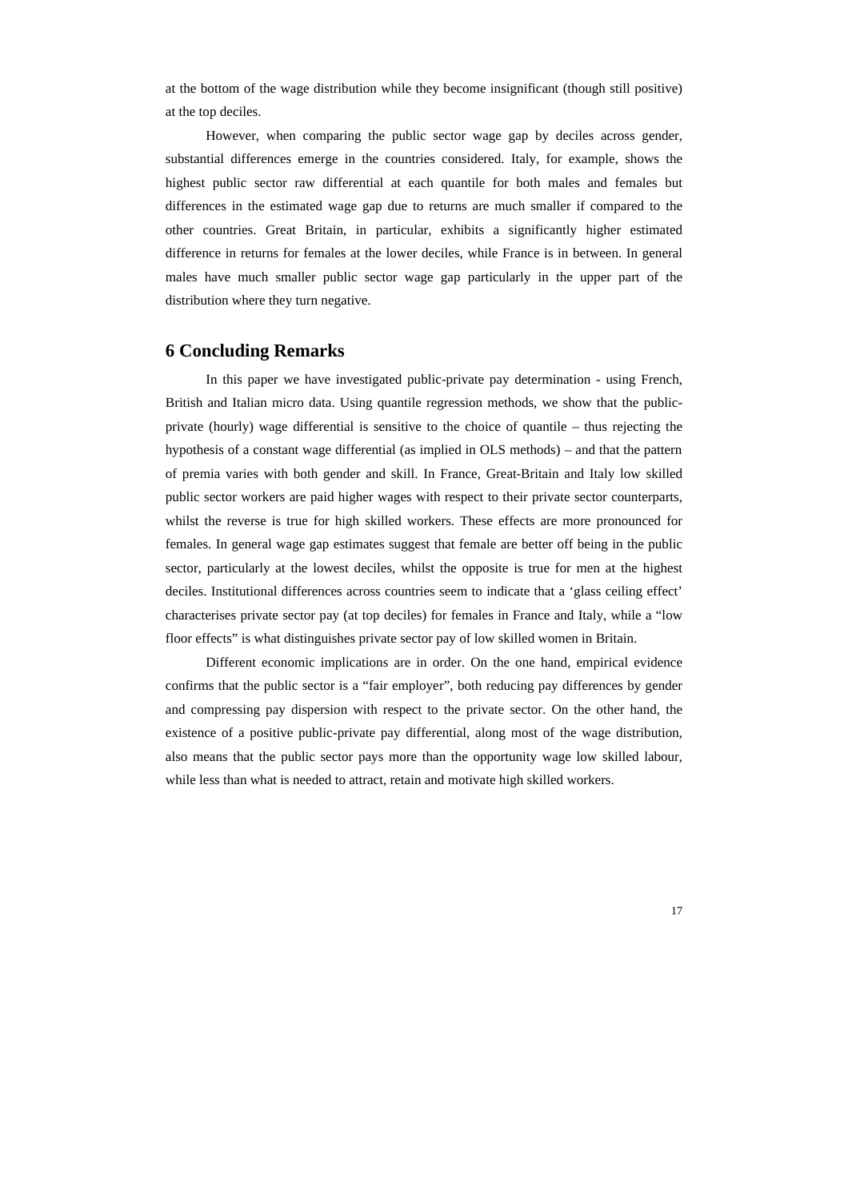at the bottom of the wage distribution while they become insignificant (though still positive) at the top deciles.

However, when comparing the public sector wage gap by deciles across gender, substantial differences emerge in the countries considered. Italy, for example, shows the highest public sector raw differential at each quantile for both males and females but differences in the estimated wage gap due to returns are much smaller if compared to the other countries. Great Britain, in particular, exhibits a significantly higher estimated difference in returns for females at the lower deciles, while France is in between. In general males have much smaller public sector wage gap particularly in the upper part of the distribution where they turn negative.

#### **6 Concluding Remarks**

In this paper we have investigated public-private pay determination - using French, British and Italian micro data. Using quantile regression methods, we show that the publicprivate (hourly) wage differential is sensitive to the choice of quantile – thus rejecting the hypothesis of a constant wage differential (as implied in OLS methods) – and that the pattern of premia varies with both gender and skill. In France, Great-Britain and Italy low skilled public sector workers are paid higher wages with respect to their private sector counterparts, whilst the reverse is true for high skilled workers. These effects are more pronounced for females. In general wage gap estimates suggest that female are better off being in the public sector, particularly at the lowest deciles, whilst the opposite is true for men at the highest deciles. Institutional differences across countries seem to indicate that a 'glass ceiling effect' characterises private sector pay (at top deciles) for females in France and Italy, while a "low floor effects" is what distinguishes private sector pay of low skilled women in Britain.

Different economic implications are in order. On the one hand, empirical evidence confirms that the public sector is a "fair employer", both reducing pay differences by gender and compressing pay dispersion with respect to the private sector. On the other hand, the existence of a positive public-private pay differential, along most of the wage distribution, also means that the public sector pays more than the opportunity wage low skilled labour, while less than what is needed to attract, retain and motivate high skilled workers.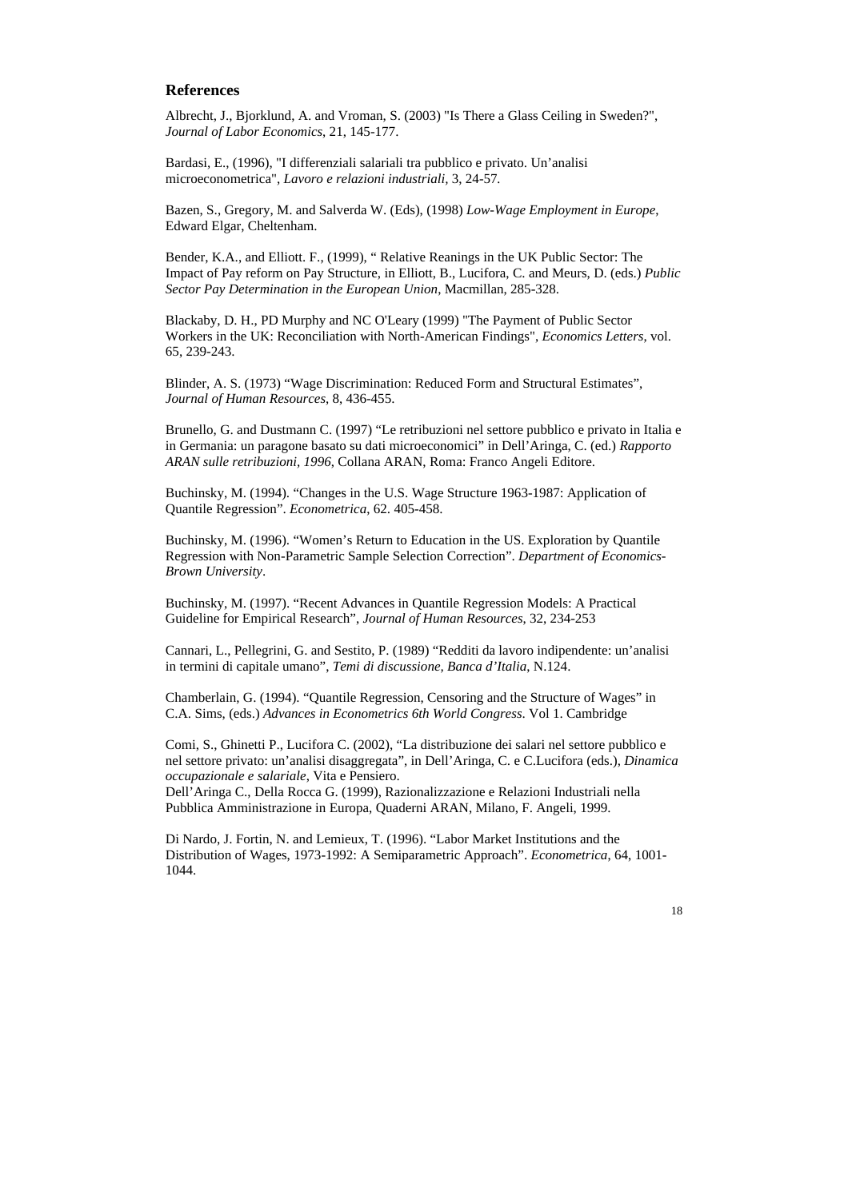#### **References**

Albrecht, J., Bjorklund, A. and Vroman, S. (2003) "Is There a Glass Ceiling in Sweden?", *Journal of Labor Economics*, 21, 145-177.

Bardasi, E., (1996), "I differenziali salariali tra pubblico e privato. Un'analisi microeconometrica", *Lavoro e relazioni industriali,* 3, 24-57*.*

Bazen, S., Gregory, M. and Salverda W. (Eds), (1998) *Low-Wage Employment in Europe*, Edward Elgar, Cheltenham.

Bender, K.A., and Elliott. F., (1999), " Relative Reanings in the UK Public Sector: The Impact of Pay reform on Pay Structure, in Elliott, B., Lucifora, C. and Meurs, D. (eds.) *Public Sector Pay Determination in the European Union*, Macmillan, 285-328.

Blackaby, D. H., PD Murphy and NC O'Leary (1999) "The Payment of Public Sector Workers in the UK: Reconciliation with North-American Findings", *Economics Letters*, vol. 65, 239-243.

Blinder, A. S. (1973) "Wage Discrimination: Reduced Form and Structural Estimates", *Journal of Human Resources*, 8, 436-455.

Brunello, G. and Dustmann C. (1997) "Le retribuzioni nel settore pubblico e privato in Italia e in Germania: un paragone basato su dati microeconomici" in Dell'Aringa, C. (ed.) *Rapporto ARAN sulle retribuzioni, 1996*, Collana ARAN, Roma: Franco Angeli Editore.

Buchinsky, M. (1994). "Changes in the U.S. Wage Structure 1963-1987: Application of Quantile Regression". *Econometrica*, 62. 405-458.

Buchinsky, M. (1996). "Women's Return to Education in the US. Exploration by Quantile Regression with Non-Parametric Sample Selection Correction". *Department of Economics-Brown University*.

Buchinsky, M. (1997). "Recent Advances in Quantile Regression Models: A Practical Guideline for Empirical Research", *Journal of Human Resources*, 32, 234-253

Cannari, L., Pellegrini, G. and Sestito, P. (1989) "Redditi da lavoro indipendente: un'analisi in termini di capitale umano", *Temi di discussione, Banca d'Italia*, N.124.

Chamberlain, G. (1994). "Quantile Regression, Censoring and the Structure of Wages" in C.A. Sims, (eds.) *Advances in Econometrics 6th World Congress*. Vol 1. Cambridge

Comi, S., Ghinetti P., Lucifora C. (2002), "La distribuzione dei salari nel settore pubblico e nel settore privato: un'analisi disaggregata", in Dell'Aringa, C. e C.Lucifora (eds.), *Dinamica occupazionale e salariale*, Vita e Pensiero.

Dell'Aringa C., Della Rocca G. (1999), Razionalizzazione e Relazioni Industriali nella Pubblica Amministrazione in Europa, Quaderni ARAN, Milano, F. Angeli, 1999.

Di Nardo, J. Fortin, N. and Lemieux, T. (1996). "Labor Market Institutions and the Distribution of Wages, 1973-1992: A Semiparametric Approach". *Econometrica*, 64, 1001- 1044.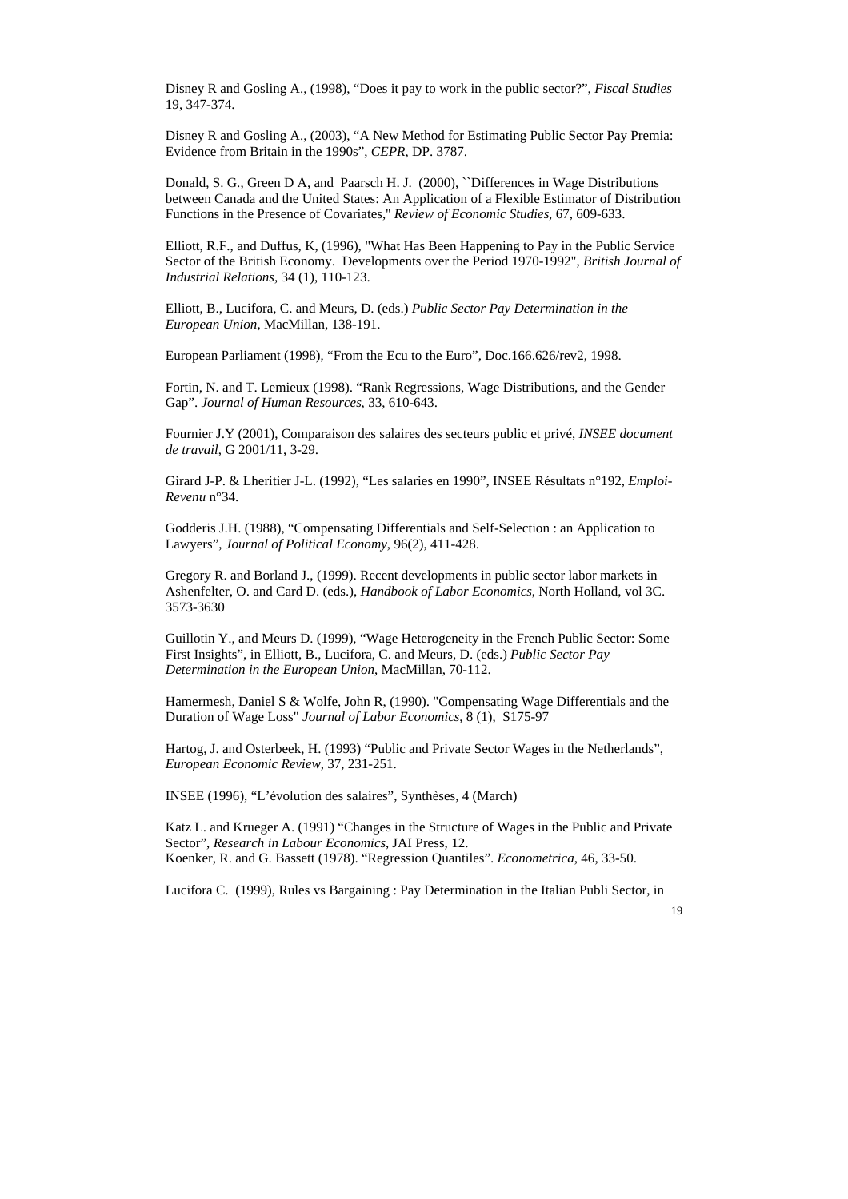Disney R and Gosling A., (1998), "Does it pay to work in the public sector?", *Fiscal Studies* 19, 347-374.

Disney R and Gosling A., (2003), "A New Method for Estimating Public Sector Pay Premia: Evidence from Britain in the 1990s", *CEPR*, DP. 3787.

Donald, S. G., Green D A, and Paarsch H. J. (2000), ``Differences in Wage Distributions between Canada and the United States: An Application of a Flexible Estimator of Distribution Functions in the Presence of Covariates,'' *Review of Economic Studies*, 67, 609-633.

Elliott, R.F., and Duffus, K, (1996), "What Has Been Happening to Pay in the Public Service Sector of the British Economy. Developments over the Period 1970-1992", *British Journal of Industrial Relations,* 34 (1), 110-123.

Elliott, B., Lucifora, C. and Meurs, D. (eds.) *Public Sector Pay Determination in the European Union*, MacMillan, 138-191.

European Parliament (1998), "From the Ecu to the Euro", Doc.166.626/rev2, 1998.

Fortin, N. and T. Lemieux (1998). "Rank Regressions, Wage Distributions, and the Gender Gap". *Journal of Human Resources*, 33, 610-643.

Fournier J.Y (2001), Comparaison des salaires des secteurs public et privé, *INSEE document de travail*, G 2001/11, 3-29.

Girard J-P. & Lheritier J-L. (1992), "Les salaries en 1990", INSEE Résultats n°192, *Emploi-Revenu* n°34.

Godderis J.H. (1988), "Compensating Differentials and Self-Selection : an Application to Lawyers", *Journal of Political Economy*, 96(2), 411-428.

Gregory R. and Borland J., (1999). Recent developments in public sector labor markets in Ashenfelter, O. and Card D. (eds.), *Handbook of Labor Economics*, North Holland, vol 3C. 3573-3630

Guillotin Y., and Meurs D. (1999), "Wage Heterogeneity in the French Public Sector: Some First Insights", in Elliott, B., Lucifora, C. and Meurs, D. (eds.) *Public Sector Pay Determination in the European Union*, MacMillan, 70-112.

Hamermesh, Daniel S & Wolfe, John R, (1990). "Compensating Wage Differentials and the Duration of Wage Loss" *Journal of Labor Economics*, 8 (1), S175-97

Hartog, J. and Osterbeek, H. (1993) "Public and Private Sector Wages in the Netherlands", *European Economic Review*, 37, 231-251.

INSEE (1996), "L'évolution des salaires", Synthèses, 4 (March)

Katz L. and Krueger A. (1991) "Changes in the Structure of Wages in the Public and Private Sector", *Research in Labour Economics*, JAI Press, 12. Koenker, R. and G. Bassett (1978). "Regression Quantiles". *Econometrica*, 46, 33-50.

Lucifora C. (1999), Rules vs Bargaining : Pay Determination in the Italian Publi Sector, in